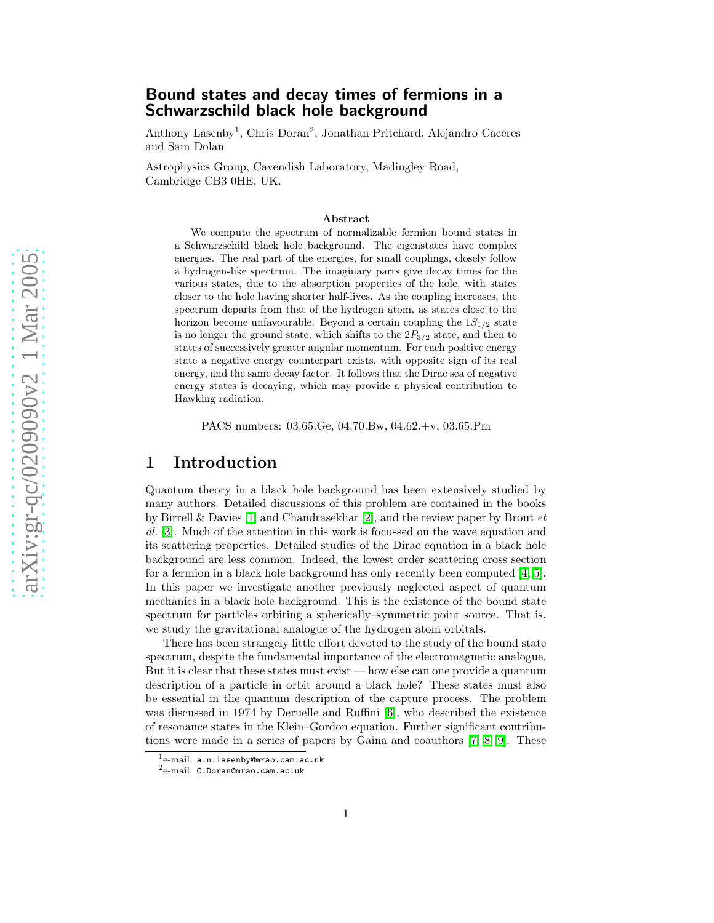# Bound states and decay times of fermions in a Schwarzschild black hole background

Anthony Lasenby 1 , Chris Doran 2 , Jonathan Pritchard, Alejandro Caceres and Sam Dolan

Astrophysics Group, Cavendish Laboratory, Madingley Road, Cambridge CB3 0HE, UK.

#### Abstract

We compute the spectrum of normalizable fermion bound states in a Schwarzschild black hole background. The eigenstates have complex energies. The real part of the energies, for small couplings, closely follow a hydrogen-like spectrum. The imaginary parts give decay times for the various states, due to the absorption properties of the hole, with states closer to the hole having shorter half-lives. As the coupling increases, the spectrum departs from that of the hydrogen atom, as states close to the horizon become unfavourable. Beyond a certain coupling the  $1S_{1/2}$  state is no longer the ground state, which shifts to the  $2P_{3/2}$  state, and then to states of successively greater angular momentum. For each positive energy state a negative energy counterpart exists, with opposite sign of its real energy, and the same decay factor. It follows that the Dirac sea of negative energy states is decaying, which may provide a physical contribution to Hawking radiation.

PACS numbers: 03.65.Ge, 04.70.Bw, 04.62.+v, 03.65.Pm

#### 1 Introduction

Quantum theory in a black hole background has been extensively studied by many authors. Detailed discussions of this problem are contained in the books by Birrell & Davies [\[1\]](#page-25-0) and Chandrasekhar [\[2\]](#page-25-1), and the review paper by Brout  $et$ al. [\[3\]](#page-25-2). Much of the attention in this work is focussed on the wave equation and its scattering properties. Detailed studies of the Dirac equation in a black hole background are less common. Indeed, the lowest order scattering cross section for a fermion in a black hole background has only recently been computed [\[4,](#page-25-3) [5\]](#page-25-4). In this paper we investigate another previously neglected aspect of quantum mechanics in a black hole background. This is the existence of the bound state spectrum for particles orbiting a spherically–symmetric point source. That is, we study the gravitational analogue of the hydrogen atom orbitals .

There has been strangely little effort devoted to the study of the bound state spectrum, despite the fundamental importance of the electromagnetic analogue. But it is clear that these states must exist — how else can one provide a quantum description of a particle in orbit around a black hole? These states must also be essential in the quantum description of the capture process. The problem was discussed in 1974 by Deruelle and Ruffini [\[6\]](#page-25-5), who described the existence of resonance states in the Klein–Gordon equation. Further significant contributions were made in a series of papers by Gaina and coauthors [\[7,](#page-25-6) [8,](#page-25-7) [9\]](#page-25-8). These

 $^1$ e-mail: **a.n.lasenby@mrao.cam.ac.uk** 

e-mail: C.Doran@mrao.cam.ac.uk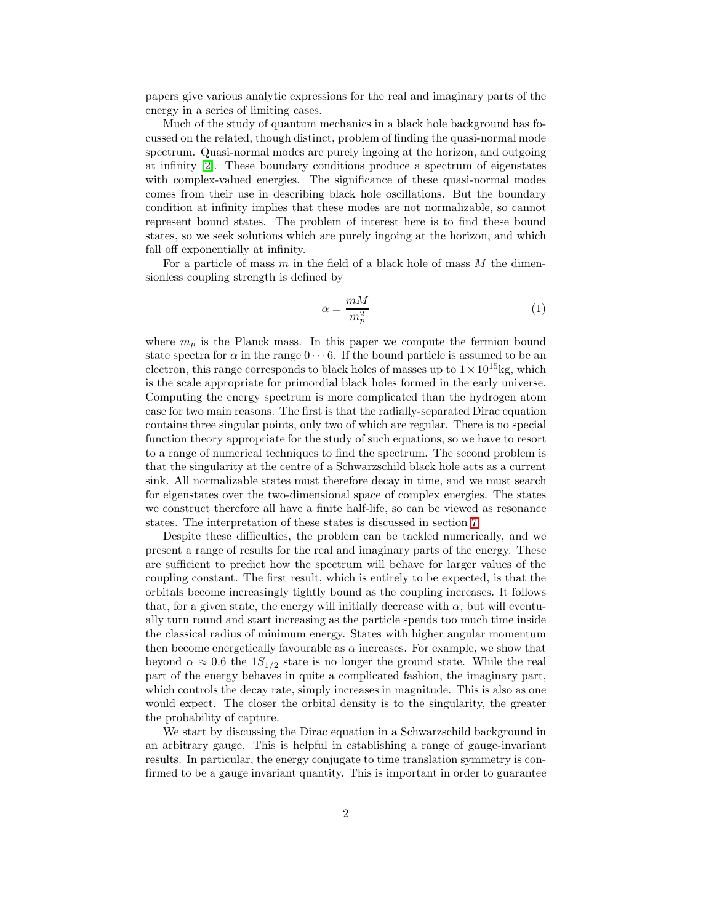papers give various analytic expressions for the real and imaginary parts of the energy in a series of limiting cases.

Much of the study of quantum mechanics in a black hole background has focussed on the related, though distinct, problem of finding the quasi-normal mode spectrum. Quasi-normal modes are purely ingoing at the horizon, and outgoing at infinity [\[2\]](#page-25-1). These boundary conditions produce a spectrum of eigenstates with complex-valued energies. The significance of these quasi-normal modes comes from their use in describing black hole oscillations. But the boundary condition at infinity implies that these modes are not normalizable, so cannot represent bound states. The problem of interest here is to find these bound states, so we seek solutions which are purely ingoing at the horizon, and which fall off exponentially at infinity.

For a particle of mass  $m$  in the field of a black hole of mass  $M$  the dimensionless coupling strength is defined by

$$
\alpha = \frac{mM}{m_p^2} \tag{1}
$$

where  $m_p$  is the Planck mass. In this paper we compute the fermion bound state spectra for  $\alpha$  in the range  $0 \cdots 6$ . If the bound particle is assumed to be an electron, this range corresponds to black holes of masses up to  $1 \times 10^{15}$ kg, which is the scale appropriate for primordial black holes formed in the early universe. Computing the energy spectrum is more complicated than the hydrogen atom case for two main reasons. The first is that the radially-separated Dirac equation contains three singular points, only two of which are regular. There is no special function theory appropriate for the study of such equations, so we have to resort to a range of numerical techniques to find the spectrum. The second problem is that the singularity at the centre of a Schwarzschild black hole acts as a current sink. All normalizable states must therefore decay in time, and we must search for eigenstates over the two-dimensional space of complex energies. The states we construct therefore all have a finite half-life, so can be viewed as resonance states. The interpretation of these states is discussed in section [7.](#page-23-0)

Despite these difficulties, the problem can be tackled numerically, and we present a range of results for the real and imaginary parts of the energy. These are sufficient to predict how the spectrum will behave for larger values of the coupling constant. The first result, which is entirely to be expected, is that the orbitals become increasingly tightly bound as the coupling increases. It follows that, for a given state, the energy will initially decrease with  $\alpha$ , but will eventually turn round and start increasing as the particle spends too much time inside the classical radius of minimum energy. States with higher angular momentum then become energetically favourable as  $\alpha$  increases. For example, we show that beyond  $\alpha \approx 0.6$  the  $1S_{1/2}$  state is no longer the ground state. While the real part of the energy behaves in quite a complicated fashion, the imaginary part, which controls the decay rate, simply increases in magnitude. This is also as one would expect. The closer the orbital density is to the singularity, the greater the probability of capture.

We start by discussing the Dirac equation in a Schwarzschild background in an arbitrary gauge. This is helpful in establishing a range of gauge-invariant results. In particular, the energy conjugate to time translation symmetry is confirmed to be a gauge invariant quantity. This is important in order to guarantee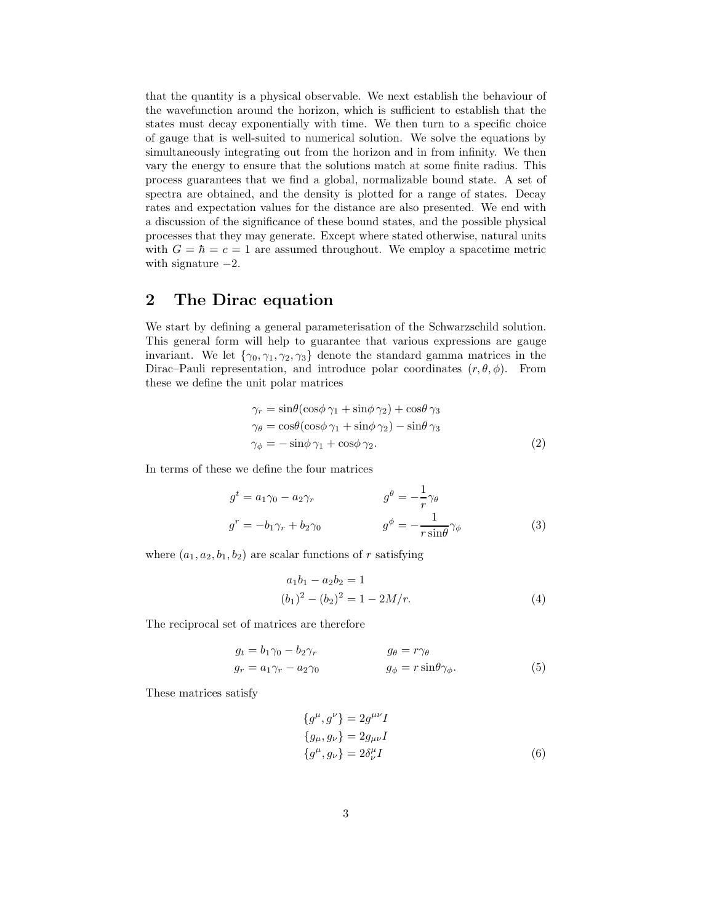that the quantity is a physical observable. We next establish the behaviour of the wavefunction around the horizon, which is sufficient to establish that the states must decay exponentially with time. We then turn to a specific choice of gauge that is well-suited to numerical solution. We solve the equations by simultaneously integrating out from the horizon and in from infinity. We then vary the energy to ensure that the solutions match at some finite radius. This process guarantees that we find a global, normalizable bound state. A set of spectra are obtained, and the density is plotted for a range of states. Decay rates and expectation values for the distance are also presented. We end with a discussion of the significance of these bound states, and the possible physical processes that they may generate. Except where stated otherwise, natural units with  $G = \hbar = c = 1$  are assumed throughout. We employ a spacetime metric with signature  $-2$ .

## 2 The Dirac equation

We start by defining a general parameterisation of the Schwarzschild solution. This general form will help to guarantee that various expressions are gauge invariant. We let  $\{\gamma_0, \gamma_1, \gamma_2, \gamma_3\}$  denote the standard gamma matrices in the Dirac–Pauli representation, and introduce polar coordinates  $(r, \theta, \phi)$ . From these we define the unit polar matrices

$$
\gamma_r = \sin\theta(\cos\phi\,\gamma_1 + \sin\phi\,\gamma_2) + \cos\theta\,\gamma_3
$$
  
\n
$$
\gamma_\theta = \cos\theta(\cos\phi\,\gamma_1 + \sin\phi\,\gamma_2) - \sin\theta\,\gamma_3
$$
  
\n
$$
\gamma_\phi = -\sin\phi\,\gamma_1 + \cos\phi\,\gamma_2.
$$
\n(2)

In terms of these we define the four matrices

$$
g^{t} = a_{1}\gamma_{0} - a_{2}\gamma_{r}
$$
\n
$$
g^{\theta} = -\frac{1}{r}\gamma_{\theta}
$$
\n
$$
g^{r} = -b_{1}\gamma_{r} + b_{2}\gamma_{0}
$$
\n
$$
g^{\phi} = -\frac{1}{r\sin\theta}\gamma_{\phi}
$$
\n(3)

where  $(a_1, a_2, b_1, b_2)$  are scalar functions of r satisfying

<span id="page-2-0"></span>
$$
a_1b_1 - a_2b_2 = 1
$$
  
\n
$$
(b_1)^2 - (b_2)^2 = 1 - 2M/r.
$$
\n(4)

The reciprocal set of matrices are therefore

$$
g_t = b_1 \gamma_0 - b_2 \gamma_r
$$
  
\n
$$
g_\theta = r \gamma_\theta
$$
  
\n
$$
g_\phi = r \sin \theta \gamma_\phi.
$$
  
\n(5)

These matrices satisfy

$$
\{g^{\mu}, g^{\nu}\} = 2g^{\mu\nu}I
$$
  

$$
\{g_{\mu}, g_{\nu}\} = 2g_{\mu\nu}I
$$
  

$$
\{g^{\mu}, g_{\nu}\} = 2\delta^{\mu}_{\nu}I
$$
 (6)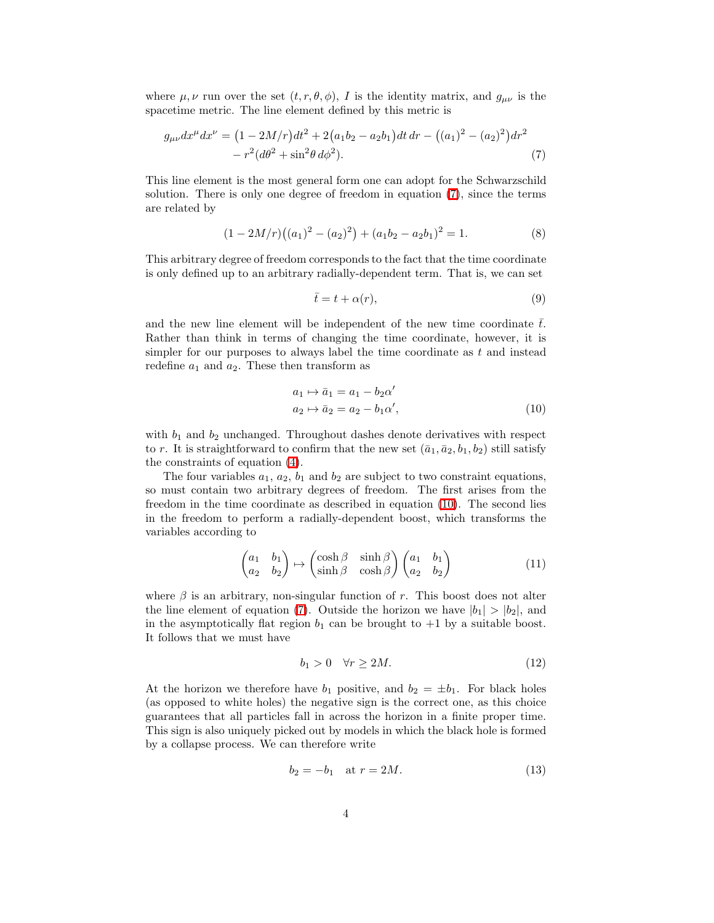where  $\mu, \nu$  run over the set  $(t, r, \theta, \phi)$ , I is the identity matrix, and  $g_{\mu\nu}$  is the spacetime metric. The line element defined by this metric is

$$
g_{\mu\nu}dx^{\mu}dx^{\nu} = (1 - 2M/r)dt^2 + 2(a_1b_2 - a_2b_1)dt dr - ((a_1)^2 - (a_2)^2)dr^2 - r^2(d\theta^2 + \sin^2\theta d\phi^2).
$$
\n(7)

This line element is the most general form one can adopt for the Schwarzschild solution. There is only one degree of freedom in equation [\(7\)](#page-3-0), since the terms are related by

$$
(1 - 2M/r)((a1)2 - (a2)2) + (a1b2 - a2b1)2 = 1.
$$
 (8)

This arbitrary degree of freedom corresponds to the fact that the time coordinate is only defined up to an arbitrary radially-dependent term. That is, we can set

<span id="page-3-0"></span>
$$
\bar{t} = t + \alpha(r),\tag{9}
$$

and the new line element will be independent of the new time coordinate  $\bar{t}$ . Rather than think in terms of changing the time coordinate, however, it is simpler for our purposes to always label the time coordinate as  $t$  and instead redefine  $a_1$  and  $a_2$ . These then transform as

<span id="page-3-1"></span>
$$
a_1 \mapsto \bar{a}_1 = a_1 - b_2 \alpha'
$$
  
\n
$$
a_2 \mapsto \bar{a}_2 = a_2 - b_1 \alpha',
$$
\n(10)

with  $b_1$  and  $b_2$  unchanged. Throughout dashes denote derivatives with respect to r. It is straightforward to confirm that the new set  $(\bar{a}_1, \bar{a}_2, b_1, b_2)$  still satisfy the constraints of equation [\(4\)](#page-2-0).

<span id="page-3-2"></span>The four variables  $a_1, a_2, b_1$  and  $b_2$  are subject to two constraint equations, so must contain two arbitrary degrees of freedom. The first arises from the freedom in the time coordinate as described in equation [\(10\)](#page-3-1). The second lies in the freedom to perform a radially-dependent boost, which transforms the variables according to

$$
\begin{pmatrix} a_1 & b_1 \ a_2 & b_2 \end{pmatrix} \mapsto \begin{pmatrix} \cosh \beta & \sinh \beta \\ \sinh \beta & \cosh \beta \end{pmatrix} \begin{pmatrix} a_1 & b_1 \\ a_2 & b_2 \end{pmatrix}
$$
 (11)

where  $\beta$  is an arbitrary, non-singular function of r. This boost does not alter the line element of equation [\(7\)](#page-3-0). Outside the horizon we have  $|b_1| > |b_2|$ , and in the asymptotically flat region  $b_1$  can be brought to  $+1$  by a suitable boost. It follows that we must have

$$
b_1 > 0 \quad \forall r \ge 2M. \tag{12}
$$

At the horizon we therefore have  $b_1$  positive, and  $b_2 = \pm b_1$ . For black holes (as opposed to white holes) the negative sign is the correct one, as this choice guarantees that all particles fall in across the horizon in a finite proper time. This sign is also uniquely picked out by models in which the black hole is formed by a collapse process. We can therefore write

$$
b_2 = -b_1 \quad \text{at } r = 2M. \tag{13}
$$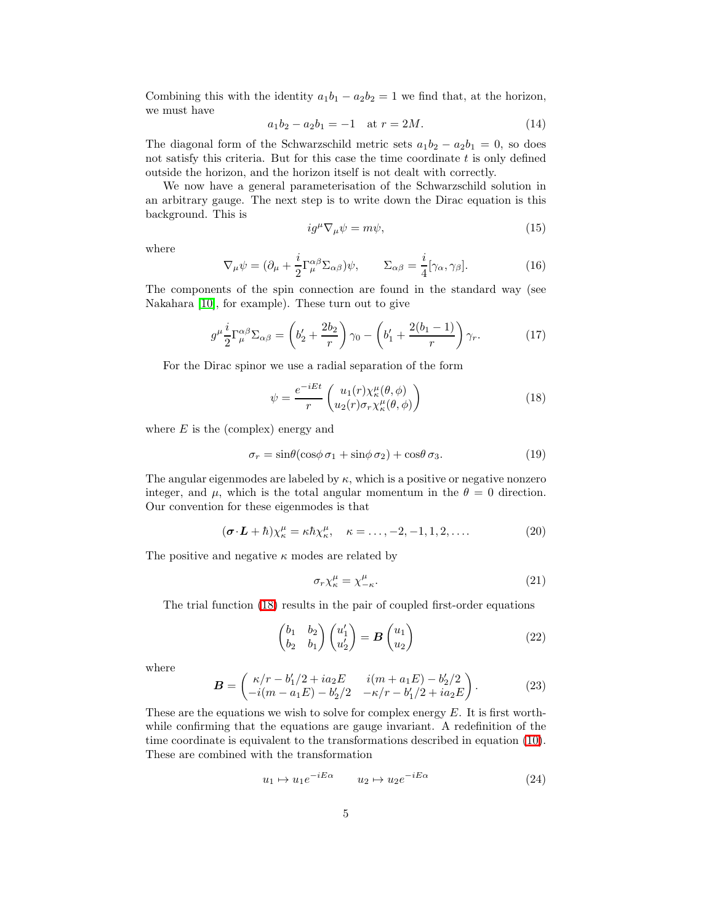<span id="page-4-2"></span>Combining this with the identity  $a_1b_1 - a_2b_2 = 1$  we find that, at the horizon, we must have

$$
a_1b_2 - a_2b_1 = -1 \quad \text{at } r = 2M. \tag{14}
$$

The diagonal form of the Schwarzschild metric sets  $a_1b_2 - a_2b_1 = 0$ , so does not satisfy this criteria. But for this case the time coordinate  $t$  is only defined outside the horizon, and the horizon itself is not dealt with correctly.

We now have a general parameterisation of the Schwarzschild solution in an arbitrary gauge. The next step is to write down the Dirac equation is this background. This is

$$
ig^{\mu}\nabla_{\mu}\psi = m\psi,\tag{15}
$$

where

$$
\nabla_{\mu}\psi = (\partial_{\mu} + \frac{i}{2}\Gamma_{\mu}^{\alpha\beta}\Sigma_{\alpha\beta})\psi, \qquad \Sigma_{\alpha\beta} = \frac{i}{4}[\gamma_{\alpha}, \gamma_{\beta}].
$$
 (16)

The components of the spin connection are found in the standard way (see Nakahara [\[10\]](#page-25-9), for example). These turn out to give

$$
g^{\mu}\frac{i}{2}\Gamma_{\mu}^{\alpha\beta}\Sigma_{\alpha\beta} = \left(b'_2 + \frac{2b_2}{r}\right)\gamma_0 - \left(b'_1 + \frac{2(b_1 - 1)}{r}\right)\gamma_r.
$$
 (17)

For the Dirac spinor we use a radial separation of the form

<span id="page-4-0"></span>
$$
\psi = \frac{e^{-iEt}}{r} \begin{pmatrix} u_1(r)\chi_{\kappa}^{\mu}(\theta,\phi) \\ u_2(r)\sigma_r\chi_{\kappa}^{\mu}(\theta,\phi) \end{pmatrix}
$$
 (18)

where  $E$  is the (complex) energy and

$$
\sigma_r = \sin\theta(\cos\phi \,\sigma_1 + \sin\phi \,\sigma_2) + \cos\theta \,\sigma_3. \tag{19}
$$

The angular eigenmodes are labeled by  $\kappa$ , which is a positive or negative nonzero integer, and  $\mu$ , which is the total angular momentum in the  $\theta = 0$  direction. Our convention for these eigenmodes is that

$$
(\boldsymbol{\sigma} \cdot \boldsymbol{L} + \hbar) \chi_{\kappa}^{\mu} = \kappa \hbar \chi_{\kappa}^{\mu}, \quad \kappa = \dots, -2, -1, 1, 2, \dots
$$
 (20)

The positive and negative  $\kappa$  modes are related by

<span id="page-4-1"></span>
$$
\sigma_r \chi_{\kappa}^{\mu} = \chi_{-\kappa}^{\mu}.
$$
\n(21)

The trial function [\(18\)](#page-4-0) results in the pair of coupled first-order equations

$$
\begin{pmatrix} b_1 & b_2 \ b_2 & b_1 \end{pmatrix} \begin{pmatrix} u'_1 \ u'_2 \end{pmatrix} = \mathbf{B} \begin{pmatrix} u_1 \ u_2 \end{pmatrix}
$$
 (22)

where

$$
\boldsymbol{B} = \begin{pmatrix} \kappa/r - b_1'/2 + ia_2 E & i(m + a_1 E) - b_2'/2 \\ -i(m - a_1 E) - b_2'/2 & -\kappa/r - b_1'/2 + ia_2 E \end{pmatrix}.
$$
 (23)

These are the equations we wish to solve for complex energy  $E$ . It is first worthwhile confirming that the equations are gauge invariant. A redefinition of the time coordinate is equivalent to the transformations described in equation [\(10\)](#page-3-1). These are combined with the transformation

$$
u_1 \mapsto u_1 e^{-iE\alpha} \qquad u_2 \mapsto u_2 e^{-iE\alpha} \tag{24}
$$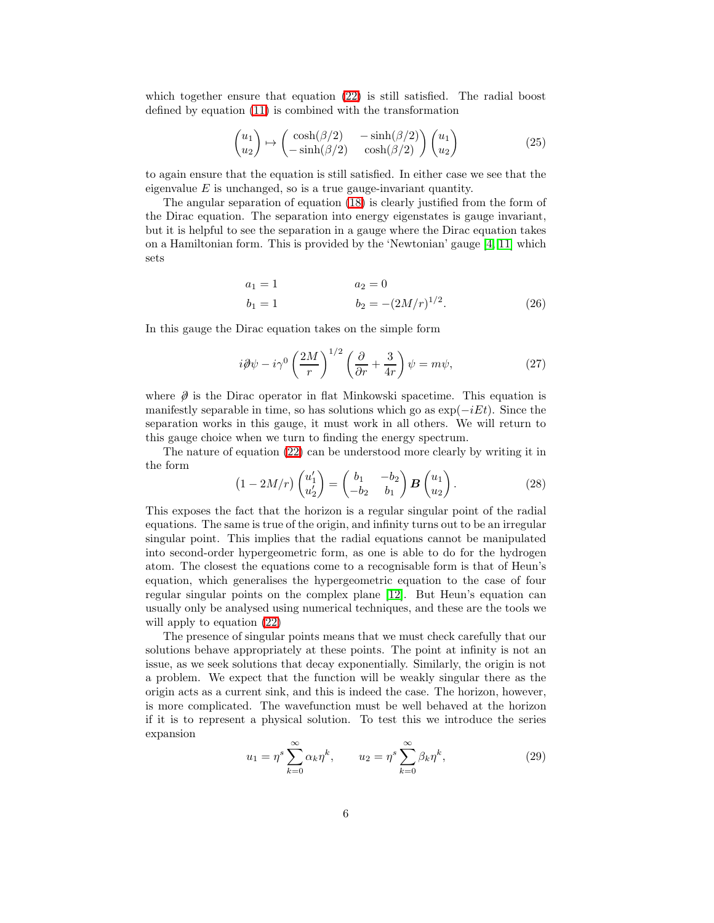which together ensure that equation  $(22)$  is still satisfied. The radial boost defined by equation [\(11\)](#page-3-2) is combined with the transformation

$$
\begin{pmatrix} u_1 \\ u_2 \end{pmatrix} \mapsto \begin{pmatrix} \cosh(\beta/2) & -\sinh(\beta/2) \\ -\sinh(\beta/2) & \cosh(\beta/2) \end{pmatrix} \begin{pmatrix} u_1 \\ u_2 \end{pmatrix} \tag{25}
$$

to again ensure that the equation is still satisfied. In either case we see that the eigenvalue  $E$  is unchanged, so is a true gauge-invariant quantity.

The angular separation of equation [\(18\)](#page-4-0) is clearly justified from the form of the Dirac equation. The separation into energy eigenstates is gauge invariant, but it is helpful to see the separation in a gauge where the Dirac equation takes on a Hamiltonian form. This is provided by the 'Newtonian' gauge [\[4,](#page-25-3) [11\]](#page-26-0) which sets

<span id="page-5-2"></span>
$$
a_1 = 1 \qquad \qquad a_2 = 0
$$
  
\n
$$
b_1 = 1 \qquad \qquad b_2 = -(2M/r)^{1/2}.
$$
 (26)

In this gauge the Dirac equation takes on the simple form

$$
i\partial \psi - i\gamma^0 \left(\frac{2M}{r}\right)^{1/2} \left(\frac{\partial}{\partial r} + \frac{3}{4r}\right) \psi = m\psi,
$$
 (27)

where  $\emptyset$  is the Dirac operator in flat Minkowski spacetime. This equation is manifestly separable in time, so has solutions which go as  $\exp(-iEt)$ . Since the separation works in this gauge, it must work in all others. We will return to this gauge choice when we turn to finding the energy spectrum.

<span id="page-5-0"></span>The nature of equation [\(22\)](#page-4-1) can be understood more clearly by writing it in the form

$$
\left(1 - 2M/r\right)\begin{pmatrix}u_1'\\ u_2'\end{pmatrix} = \begin{pmatrix}b_1 & -b_2\\ -b_2 & b_1\end{pmatrix} \mathbf{B} \begin{pmatrix}u_1\\ u_2\end{pmatrix}.
$$
 (28)

This exposes the fact that the horizon is a regular singular point of the radial equations. The same is true of the origin, and infinity turns out to be an irregular singular point. This implies that the radial equations cannot be manipulated into second-order hypergeometric form, as one is able to do for the hydrogen atom. The closest the equations come to a recognisable form is that of Heun's equation, which generalises the hypergeometric equation to the case of four regular singular points on the complex plane [\[12\]](#page-26-1). But Heun's equation can usually only be analysed using numerical techniques, and these are the tools we will apply to equation [\(22\)](#page-4-1)

<span id="page-5-1"></span>The presence of singular points means that we must check carefully that our solutions behave appropriately at these points. The point at infinity is not an issue, as we seek solutions that decay exponentially. Similarly, the origin is not a problem. We expect that the function will be weakly singular there as the origin acts as a current sink, and this is indeed the case. The horizon, however, is more complicated. The wavefunction must be well behaved at the horizon if it is to represent a physical solution. To test this we introduce the series expansion

$$
u_1 = \eta^s \sum_{k=0}^{\infty} \alpha_k \eta^k, \qquad u_2 = \eta^s \sum_{k=0}^{\infty} \beta_k \eta^k,
$$
 (29)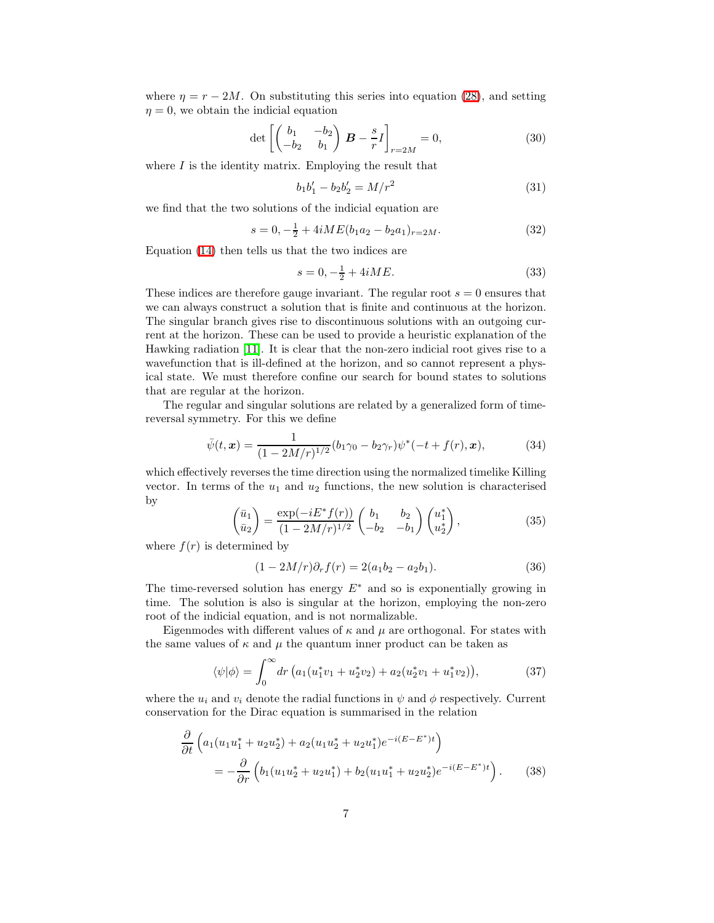where  $\eta = r - 2M$ . On substituting this series into equation [\(28\)](#page-5-0), and setting  $\eta = 0$ , we obtain the indicial equation

$$
\det\left[\begin{pmatrix}b_1 & -b_2 \ -b_2 & b_1\end{pmatrix} \boldsymbol{B} - \frac{s}{r}I\right]_{r=2M} = 0, \tag{30}
$$

where  $I$  is the identity matrix. Employing the result that

$$
b_1 b_1' - b_2 b_2' = M/r^2 \tag{31}
$$

we find that the two solutions of the indicial equation are

$$
s = 0, -\frac{1}{2} + 4iME(b_1a_2 - b_2a_1)_{r=2M}.
$$
\n(32)

Equation [\(14\)](#page-4-2) then tells us that the two indices are

$$
s = 0, -\frac{1}{2} + 4iME. \tag{33}
$$

These indices are therefore gauge invariant. The regular root  $s = 0$  ensures that we can always construct a solution that is finite and continuous at the horizon. The singular branch gives rise to discontinuous solutions with an outgoing current at the horizon. These can be used to provide a heuristic explanation of the Hawking radiation [\[11\]](#page-26-0). It is clear that the non-zero indicial root gives rise to a wavefunction that is ill-defined at the horizon, and so cannot represent a physical state. We must therefore confine our search for bound states to solutions that are regular at the horizon.

The regular and singular solutions are related by a generalized form of timereversal symmetry. For this we define

$$
\bar{\psi}(t,\boldsymbol{x}) = \frac{1}{(1 - 2M/r)^{1/2}} (b_1 \gamma_0 - b_2 \gamma_r) \psi^*(-t + f(r), \boldsymbol{x}), \tag{34}
$$

which effectively reverses the time direction using the normalized timelike Killing vector. In terms of the  $u_1$  and  $u_2$  functions, the new solution is characterised by

$$
\begin{pmatrix} \bar{u}_1 \\ \bar{u}_2 \end{pmatrix} = \frac{\exp(-iE^*f(r))}{(1 - 2M/r)^{1/2}} \begin{pmatrix} b_1 & b_2 \\ -b_2 & -b_1 \end{pmatrix} \begin{pmatrix} u_1^* \\ u_2^* \end{pmatrix},
$$
\n(35)

where  $f(r)$  is determined by

$$
(1 - 2M/r)\partial_r f(r) = 2(a_1b_2 - a_2b_1).
$$
 (36)

The time-reversed solution has energy  $E^*$  and so is exponentially growing in time. The solution is also is singular at the horizon, employing the non-zero root of the indicial equation, and is not normalizable.

Eigenmodes with different values of  $\kappa$  and  $\mu$  are orthogonal. For states with the same values of  $\kappa$  and  $\mu$  the quantum inner product can be taken as

$$
\langle \psi | \phi \rangle = \int_0^\infty dr \left( a_1 (u_1^* v_1 + u_2^* v_2) + a_2 (u_2^* v_1 + u_1^* v_2) \right), \tag{37}
$$

where the  $u_i$  and  $v_i$  denote the radial functions in  $\psi$  and  $\phi$  respectively. Current conservation for the Dirac equation is summarised in the relation

$$
\frac{\partial}{\partial t} \left( a_1 (u_1 u_1^* + u_2 u_2^*) + a_2 (u_1 u_2^* + u_2 u_1^*) e^{-i(E - E^*)t} \right)
$$
\n
$$
= -\frac{\partial}{\partial r} \left( b_1 (u_1 u_2^* + u_2 u_1^*) + b_2 (u_1 u_1^* + u_2 u_2^*) e^{-i(E - E^*)t} \right). \tag{38}
$$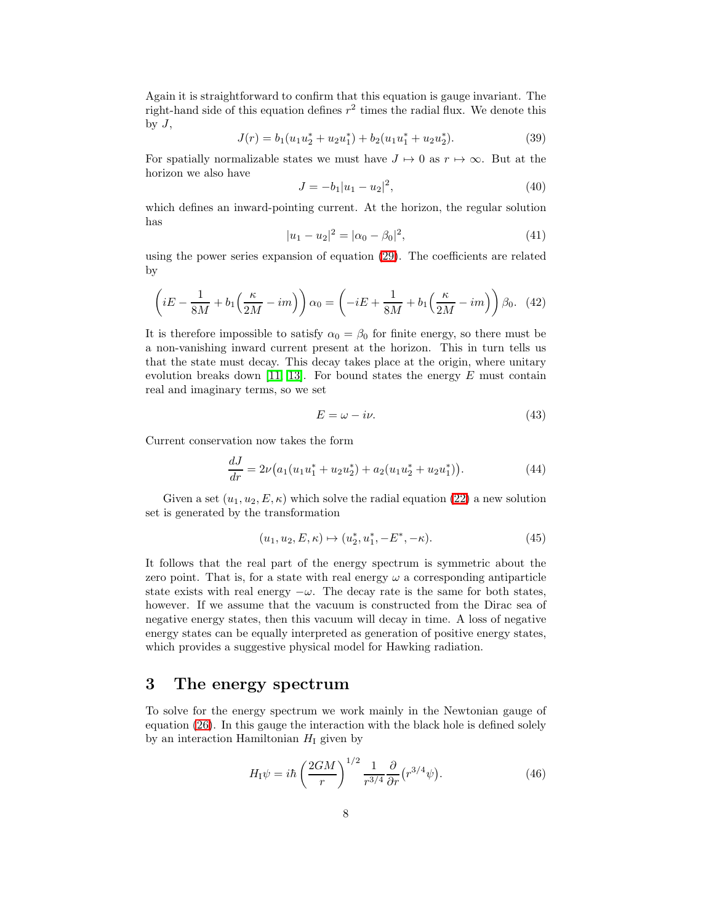Again it is straightforward to confirm that this equation is gauge invariant. The right-hand side of this equation defines  $r^2$  times the radial flux. We denote this by  $J$ ,

$$
J(r) = b_1(u_1u_2^* + u_2u_1^*) + b_2(u_1u_1^* + u_2u_2^*).
$$
 (39)

For spatially normalizable states we must have  $J \mapsto 0$  as  $r \mapsto \infty$ . But at the horizon we also have

$$
J = -b_1|u_1 - u_2|^2, \tag{40}
$$

which defines an inward-pointing current. At the horizon, the regular solution has

$$
|u_1 - u_2|^2 = |\alpha_0 - \beta_0|^2, \tag{41}
$$

using the power series expansion of equation [\(29\)](#page-5-1). The coefficients are related by

$$
\left(iE - \frac{1}{8M} + b_1\left(\frac{\kappa}{2M} - im\right)\right)\alpha_0 = \left(-iE + \frac{1}{8M} + b_1\left(\frac{\kappa}{2M} - im\right)\right)\beta_0. \tag{42}
$$

It is therefore impossible to satisfy  $\alpha_0 = \beta_0$  for finite energy, so there must be a non-vanishing inward current present at the horizon. This in turn tells us that the state must decay. This decay takes place at the origin, where unitary evolution breaks down [\[11,](#page-26-0) [13\]](#page-26-2). For bound states the energy  $E$  must contain real and imaginary terms, so we set

$$
E = \omega - i\nu. \tag{43}
$$

Current conservation now takes the form

$$
\frac{dJ}{dr} = 2\nu \big( a_1 (u_1 u_1^* + u_2 u_2^*) + a_2 (u_1 u_2^* + u_2 u_1^*) \big). \tag{44}
$$

Given a set  $(u_1, u_2, E, \kappa)$  which solve the radial equation [\(22\)](#page-4-1) a new solution set is generated by the transformation

$$
(u_1, u_2, E, \kappa) \mapsto (u_2^*, u_1^*, -E^*, -\kappa). \tag{45}
$$

It follows that the real part of the energy spectrum is symmetric about the zero point. That is, for a state with real energy  $\omega$  a corresponding antiparticle state exists with real energy  $-\omega$ . The decay rate is the same for both states, however. If we assume that the vacuum is constructed from the Dirac sea of negative energy states, then this vacuum will decay in time. A loss of negative energy states can be equally interpreted as generation of positive energy states, which provides a suggestive physical model for Hawking radiation.

#### 3 The energy spectrum

To solve for the energy spectrum we work mainly in the Newtonian gauge of equation [\(26\)](#page-5-2). In this gauge the interaction with the black hole is defined solely by an interaction Hamiltonian  $H<sub>I</sub>$  given by

$$
H_{\rm I}\psi = i\hbar \left(\frac{2GM}{r}\right)^{1/2} \frac{1}{r^{3/4}} \frac{\partial}{\partial r} \left(r^{3/4}\psi\right). \tag{46}
$$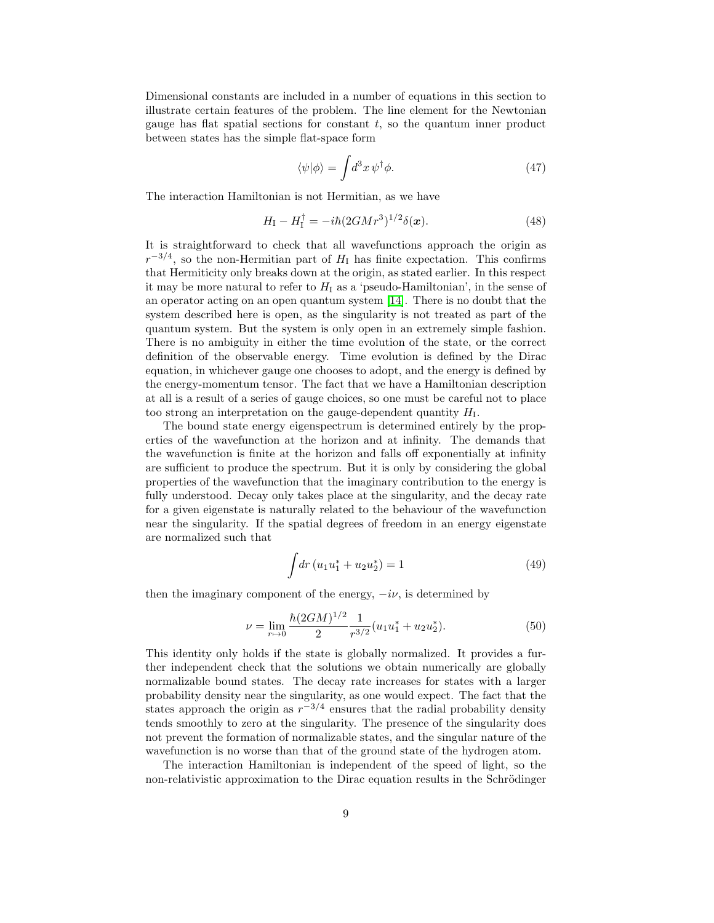Dimensional constants are included in a number of equations in this section to illustrate certain features of the problem. The line element for the Newtonian gauge has flat spatial sections for constant  $t$ , so the quantum inner product between states has the simple flat-space form

$$
\langle \psi | \phi \rangle = \int d^3x \, \psi^\dagger \phi. \tag{47}
$$

The interaction Hamiltonian is not Hermitian, as we have

$$
H_{\rm I} - H_{\rm I}^{\dagger} = -i\hbar (2GMr^3)^{1/2} \delta(\mathbf{x}). \tag{48}
$$

It is straightforward to check that all wavefunctions approach the origin as  $r^{-3/4}$ , so the non-Hermitian part of  $H<sub>I</sub>$  has finite expectation. This confirms that Hermiticity only breaks down at the origin, as stated earlier. In this respect it may be more natural to refer to  $H<sub>I</sub>$  as a 'pseudo-Hamiltonian', in the sense of an operator acting on an open quantum system [\[14\]](#page-26-3). There is no doubt that the system described here is open, as the singularity is not treated as part of the quantum system. But the system is only open in an extremely simple fashion. There is no ambiguity in either the time evolution of the state, or the correct definition of the observable energy. Time evolution is defined by the Dirac equation, in whichever gauge one chooses to adopt, and the energy is defined by the energy-momentum tensor. The fact that we have a Hamiltonian description at all is a result of a series of gauge choices, so one must be careful not to place too strong an interpretation on the gauge-dependent quantity  $H<sub>I</sub>$ .

The bound state energy eigenspectrum is determined entirely by the properties of the wavefunction at the horizon and at infinity. The demands that the wavefunction is finite at the horizon and falls off exponentially at infinity are sufficient to produce the spectrum. But it is only by considering the global properties of the wavefunction that the imaginary contribution to the energy is fully understood. Decay only takes place at the singularity, and the decay rate for a given eigenstate is naturally related to the behaviour of the wavefunction near the singularity. If the spatial degrees of freedom in an energy eigenstate are normalized such that

<span id="page-8-0"></span>
$$
\int dr (u_1 u_1^* + u_2 u_2^*) = 1 \tag{49}
$$

then the imaginary component of the energy,  $-i\nu$ , is determined by

$$
\nu = \lim_{r \to 0} \frac{\hbar (2GM)^{1/2}}{2} \frac{1}{r^{3/2}} (u_1 u_1^* + u_2 u_2^*).
$$
 (50)

This identity only holds if the state is globally normalized. It provides a further independent check that the solutions we obtain numerically are globally normalizable bound states. The decay rate increases for states with a larger probability density near the singularity, as one would expect. The fact that the states approach the origin as  $r^{-3/4}$  ensures that the radial probability density tends smoothly to zero at the singularity. The presence of the singularity does not prevent the formation of normalizable states, and the singular nature of the wavefunction is no worse than that of the ground state of the hydrogen atom.

The interaction Hamiltonian is independent of the speed of light, so the non-relativistic approximation to the Dirac equation results in the Schrödinger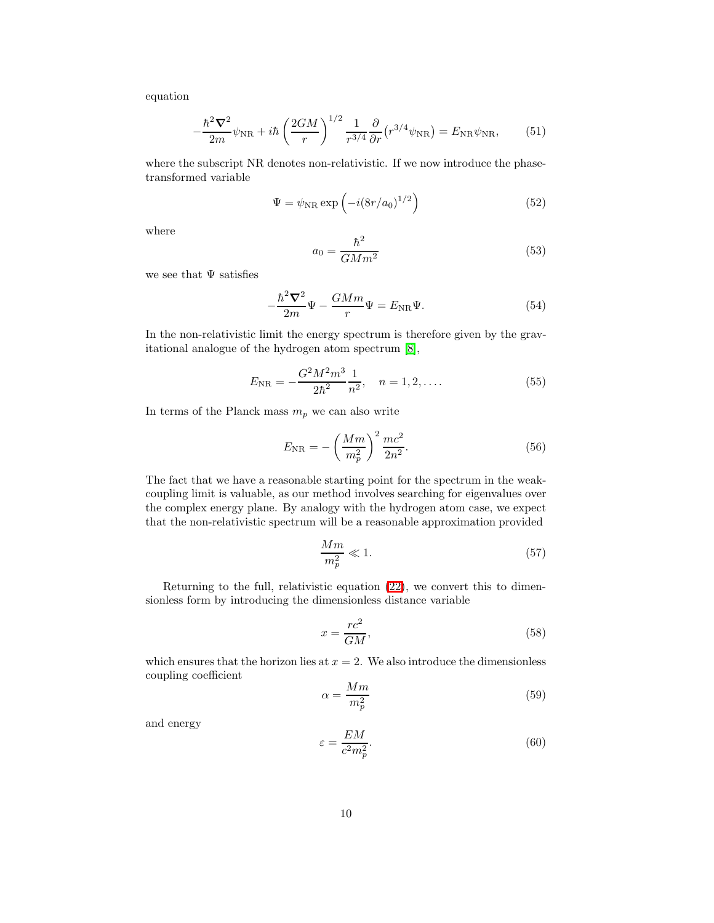equation

−

$$
-\frac{\hbar^2 \nabla^2}{2m} \psi_{\rm NR} + i\hbar \left(\frac{2GM}{r}\right)^{1/2} \frac{1}{r^{3/4}} \frac{\partial}{\partial r} \left(r^{3/4} \psi_{\rm NR}\right) = E_{\rm NR} \psi_{\rm NR},\qquad (51)
$$

where the subscript NR denotes non-relativistic. If we now introduce the phasetransformed variable

2

$$
\Psi = \psi_{\rm NR} \exp\left(-i(8r/a_0)^{1/2}\right) \tag{52}
$$

where

$$
a_0 = \frac{\hbar^2}{GMm^2} \tag{53}
$$

we see that  $\Psi$  satisfies

$$
-\frac{\hbar^2 \nabla^2}{2m} \Psi - \frac{GMm}{r} \Psi = E_{\text{NR}} \Psi.
$$
 (54)

In the non-relativistic limit the energy spectrum is therefore given by the gravitational analogue of the hydrogen atom spectrum [\[8\]](#page-25-7),

$$
E_{\rm NR} = -\frac{G^2 M^2 m^3}{2\hbar^2} \frac{1}{n^2}, \quad n = 1, 2, \dots
$$
 (55)

In terms of the Planck mass  $m_p$  we can also write

<span id="page-9-0"></span>
$$
E_{\rm NR} = -\left(\frac{Mm}{m_p^2}\right)^2 \frac{mc^2}{2n^2}.
$$
\n(56)

The fact that we have a reasonable starting point for the spectrum in the weakcoupling limit is valuable, as our method involves searching for eigenvalues over the complex energy plane. By analogy with the hydrogen atom case, we expect that the non-relativistic spectrum will be a reasonable approximation provided

$$
\frac{Mm}{m_p^2} \ll 1.\tag{57}
$$

Returning to the full, relativistic equation [\(22\)](#page-4-1), we convert this to dimensionless form by introducing the dimensionless distance variable

$$
x = \frac{rc^2}{GM},\tag{58}
$$

which ensures that the horizon lies at  $x = 2$ . We also introduce the dimensionless coupling coefficient

$$
\alpha = \frac{Mm}{m_p^2} \tag{59}
$$

and energy

$$
\varepsilon = \frac{EM}{c^2 m_p^2}.\tag{60}
$$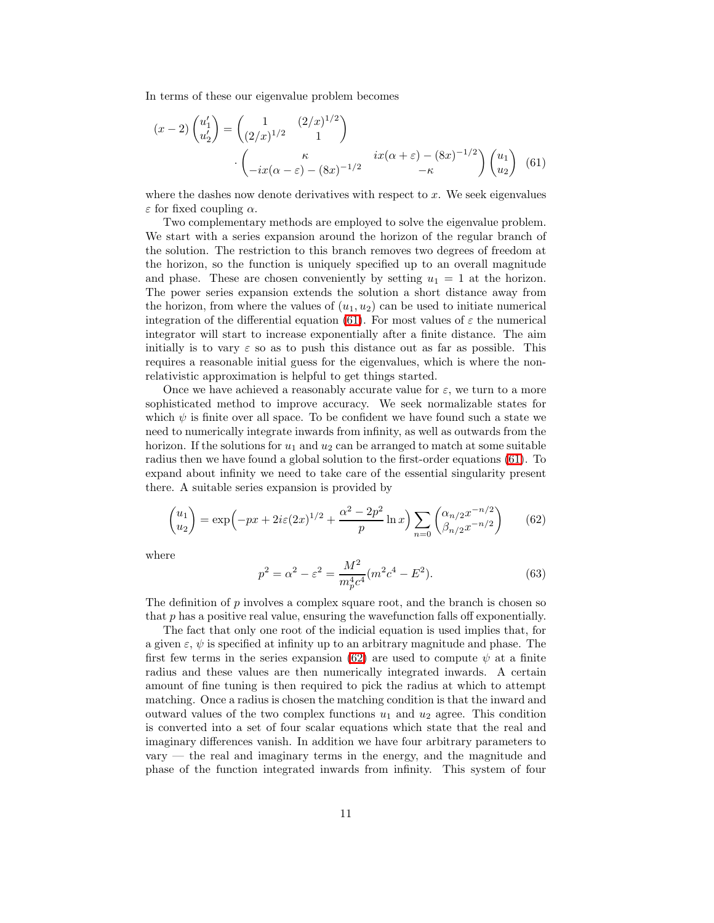In terms of these our eigenvalue problem becomes

<span id="page-10-0"></span>
$$
(x-2)\begin{pmatrix} u_1' \\ u_2' \end{pmatrix} = \begin{pmatrix} 1 & (2/x)^{1/2} \\ (2/x)^{1/2} & 1 \end{pmatrix}
$$

$$
\begin{pmatrix} \kappa & ix(\alpha+\varepsilon) - (8x)^{-1/2} \\ -ix(\alpha-\varepsilon) - (8x)^{-1/2} & -\kappa \end{pmatrix} \begin{pmatrix} u_1 \\ u_2 \end{pmatrix} (61)
$$

where the dashes now denote derivatives with respect to  $x$ . We seek eigenvalues  $\varepsilon$  for fixed coupling  $\alpha$ .

Two complementary methods are employed to solve the eigenvalue problem. We start with a series expansion around the horizon of the regular branch of the solution. The restriction to this branch removes two degrees of freedom at the horizon, so the function is uniquely specified up to an overall magnitude and phase. These are chosen conveniently by setting  $u_1 = 1$  at the horizon. The power series expansion extends the solution a short distance away from the horizon, from where the values of  $(u_1, u_2)$  can be used to initiate numerical integration of the differential equation [\(61\)](#page-10-0). For most values of  $\varepsilon$  the numerical integrator will start to increase exponentially after a finite distance. The aim initially is to vary  $\varepsilon$  so as to push this distance out as far as possible. This requires a reasonable initial guess for the eigenvalues, which is where the nonrelativistic approximation is helpful to get things started.

Once we have achieved a reasonably accurate value for  $\varepsilon$ , we turn to a more sophisticated method to improve accuracy. We seek normalizable states for which  $\psi$  is finite over all space. To be confident we have found such a state we need to numerically integrate inwards from infinity, as well as outwards from the horizon. If the solutions for  $u_1$  and  $u_2$  can be arranged to match at some suitable radius then we have found a global solution to the first-order equations [\(61\)](#page-10-0). To expand about infinity we need to take care of the essential singularity present there. A suitable series expansion is provided by

$$
\begin{pmatrix} u_1 \\ u_2 \end{pmatrix} = \exp\left(-px + 2i\varepsilon(2x)^{1/2} + \frac{\alpha^2 - 2p^2}{p} \ln x\right) \sum_{n=0} \begin{pmatrix} \alpha_{n/2} x^{-n/2} \\ \beta_{n/2} x^{-n/2} \end{pmatrix} \tag{62}
$$

where

<span id="page-10-1"></span>
$$
p^2 = \alpha^2 - \varepsilon^2 = \frac{M^2}{m_p^4 c^4} (m^2 c^4 - E^2).
$$
 (63)

The definition of  $p$  involves a complex square root, and the branch is chosen so that  $p$  has a positive real value, ensuring the wavefunction falls off exponentially.

The fact that only one root of the indicial equation is used implies that, for a given  $\varepsilon$ ,  $\psi$  is specified at infinity up to an arbitrary magnitude and phase. The first few terms in the series expansion [\(62\)](#page-10-1) are used to compute  $\psi$  at a finite radius and these values are then numerically integrated inwards. A certain amount of fine tuning is then required to pick the radius at which to attempt matching. Once a radius is chosen the matching condition is that the inward and outward values of the two complex functions  $u_1$  and  $u_2$  agree. This condition is converted into a set of four scalar equations which state that the real and imaginary differences vanish. In addition we have four arbitrary parameters to vary — the real and imaginary terms in the energy, and the magnitude and phase of the function integrated inwards from infinity. This system of four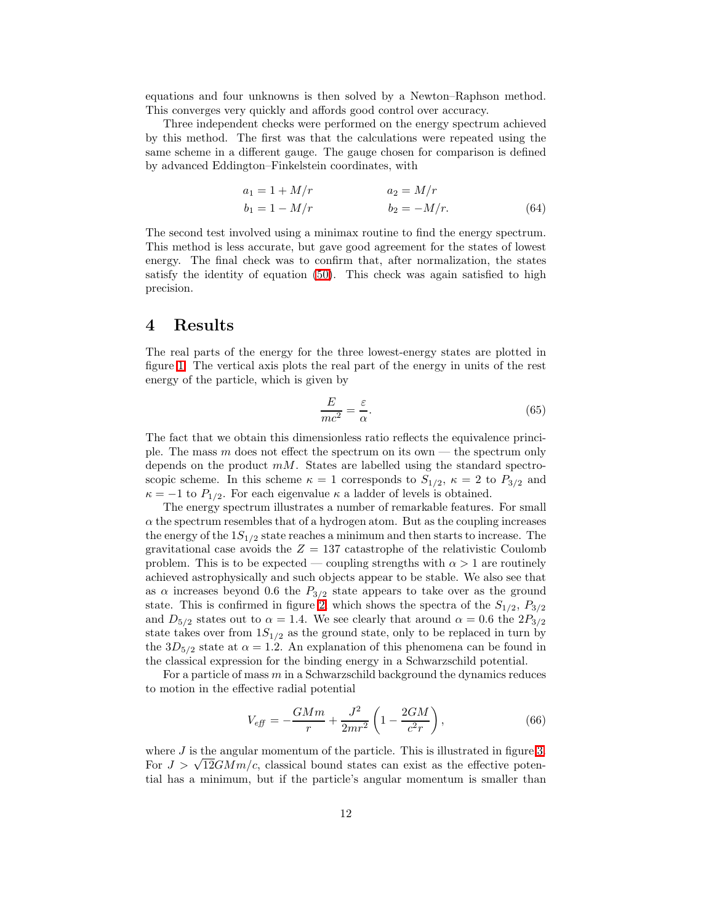equations and four unknowns is then solved by a Newton–Raphson method. This converges very quickly and affords good control over accuracy.

Three independent checks were performed on the energy spectrum achieved by this method. The first was that the calculations were repeated using the same scheme in a different gauge. The gauge chosen for comparison is defined by advanced Eddington–Finkelstein coordinates, with

$$
a_1 = 1 + M/r
$$
  
\n
$$
b_1 = 1 - M/r
$$
  
\n
$$
a_2 = M/r
$$
  
\n
$$
b_2 = -M/r.
$$
  
\n(64)

The second test involved using a minimax routine to find the energy spectrum. This method is less accurate, but gave good agreement for the states of lowest energy. The final check was to confirm that, after normalization, the states satisfy the identity of equation [\(50\)](#page-8-0). This check was again satisfied to high precision.

#### 4 Results

The real parts of the energy for the three lowest-energy states are plotted in figure [1.](#page-12-0) The vertical axis plots the real part of the energy in units of the rest energy of the particle, which is given by

$$
\frac{E}{mc^2} = \frac{\varepsilon}{\alpha}.\tag{65}
$$

The fact that we obtain this dimensionless ratio reflects the equivalence principle. The mass m does not effect the spectrum on its own — the spectrum only depends on the product  $mM$ . States are labelled using the standard spectroscopic scheme. In this scheme  $\kappa = 1$  corresponds to  $S_{1/2}$ ,  $\kappa = 2$  to  $P_{3/2}$  and  $\kappa = -1$  to  $P_{1/2}$ . For each eigenvalue  $\kappa$  a ladder of levels is obtained.

The energy spectrum illustrates a number of remarkable features. For small  $\alpha$  the spectrum resembles that of a hydrogen atom. But as the coupling increases the energy of the  $1S_{1/2}$  state reaches a minimum and then starts to increase. The gravitational case avoids the  $Z = 137$  catastrophe of the relativistic Coulomb problem. This is to be expected — coupling strengths with  $\alpha > 1$  are routinely achieved astrophysically and such objects appear to be stable. We also see that as  $\alpha$  increases beyond 0.6 the  $P_{3/2}$  state appears to take over as the ground state. This is confirmed in figure [2,](#page-13-0) which shows the spectra of the  $S_{1/2}$ ,  $P_{3/2}$ and  $D_{5/2}$  states out to  $\alpha = 1.4$ . We see clearly that around  $\alpha = 0.6$  the  $2P_{3/2}$ state takes over from  $1S_{1/2}$  as the ground state, only to be replaced in turn by the  $3D_{5/2}$  state at  $\alpha = 1.2$ . An explanation of this phenomena can be found in the classical expression for the binding energy in a Schwarzschild potential.

For a particle of mass  $m$  in a Schwarzschild background the dynamics reduces to motion in the effective radial potential

$$
V_{\text{eff}} = -\frac{GMm}{r} + \frac{J^2}{2mr^2} \left( 1 - \frac{2GM}{c^2r} \right),\tag{66}
$$

where  $J$  is the angular momentum of the particle. This is illustrated in figure [3.](#page-14-0) For  $J > \sqrt{12}GMm/c$ , classical bound states can exist as the effective potential has a minimum, but if the particle's angular momentum is smaller than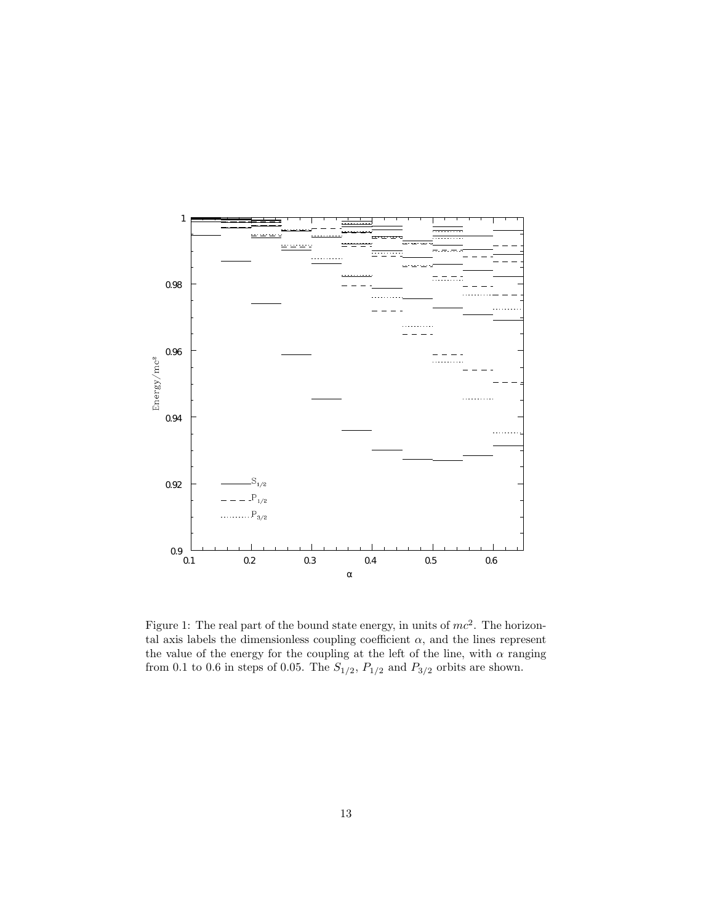

<span id="page-12-0"></span>Figure 1: The real part of the bound state energy, in units of  $mc^2$ . The horizontal axis labels the dimensionless coupling coefficient  $\alpha$ , and the lines represent the value of the energy for the coupling at the left of the line, with  $\alpha$  ranging from 0.1 to 0.6 in steps of 0.05. The  $S_{1/2}$ ,  $P_{1/2}$  and  $P_{3/2}$  orbits are shown.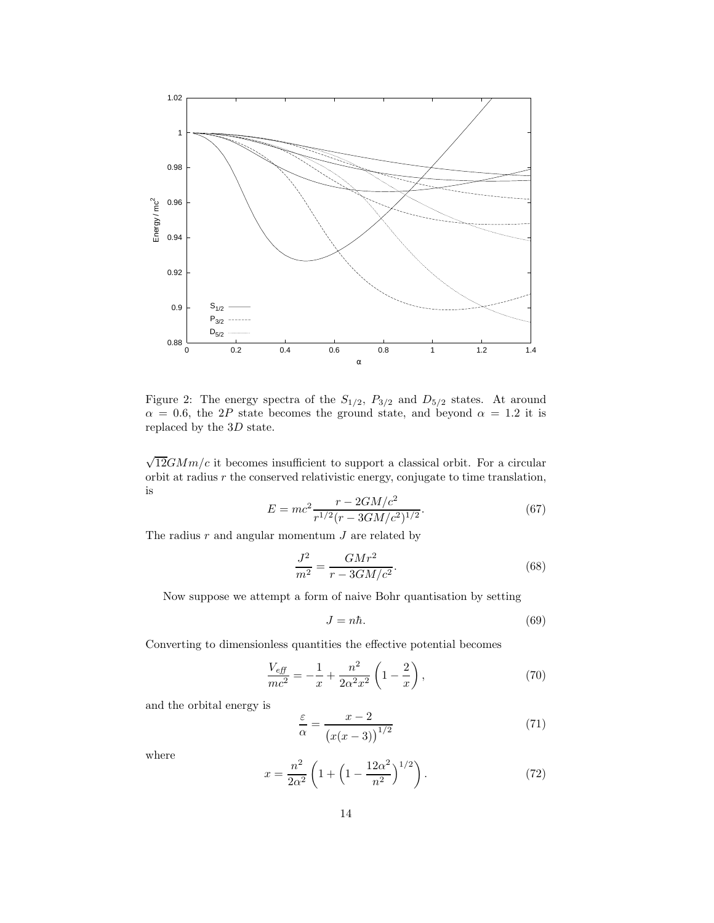

<span id="page-13-0"></span>Figure 2: The energy spectra of the  $S_{1/2}$ ,  $P_{3/2}$  and  $D_{5/2}$  states. At around  $\alpha = 0.6$ , the 2P state becomes the ground state, and beyond  $\alpha = 1.2$  it is replaced by the 3D state.

 $\sqrt{12}GMm/c$  it becomes insufficient to support a classical orbit. For a circular orbit at radius  $r$  the conserved relativistic energy, conjugate to time translation, is

$$
E = mc^2 \frac{r - 2GM/c^2}{r^{1/2}(r - 3GM/c^2)^{1/2}}.
$$
\n(67)

The radius  $r$  and angular momentum  $J$  are related by

$$
\frac{J^2}{m^2} = \frac{GMr^2}{r - 3GM/c^2}.
$$
\n(68)

Now suppose we attempt a form of naive Bohr quantisation by setting

$$
J = n\hbar. \tag{69}
$$

Converting to dimensionless quantities the effective potential becomes

$$
\frac{V_{\text{eff}}}{mc^2} = -\frac{1}{x} + \frac{n^2}{2\alpha^2 x^2} \left( 1 - \frac{2}{x} \right),\tag{70}
$$

and the orbital energy is

$$
\frac{\varepsilon}{\alpha} = \frac{x - 2}{\left(x(x - 3)\right)^{1/2}}\tag{71}
$$

where

$$
x = \frac{n^2}{2\alpha^2} \left( 1 + \left( 1 - \frac{12\alpha^2}{n^2} \right)^{1/2} \right). \tag{72}
$$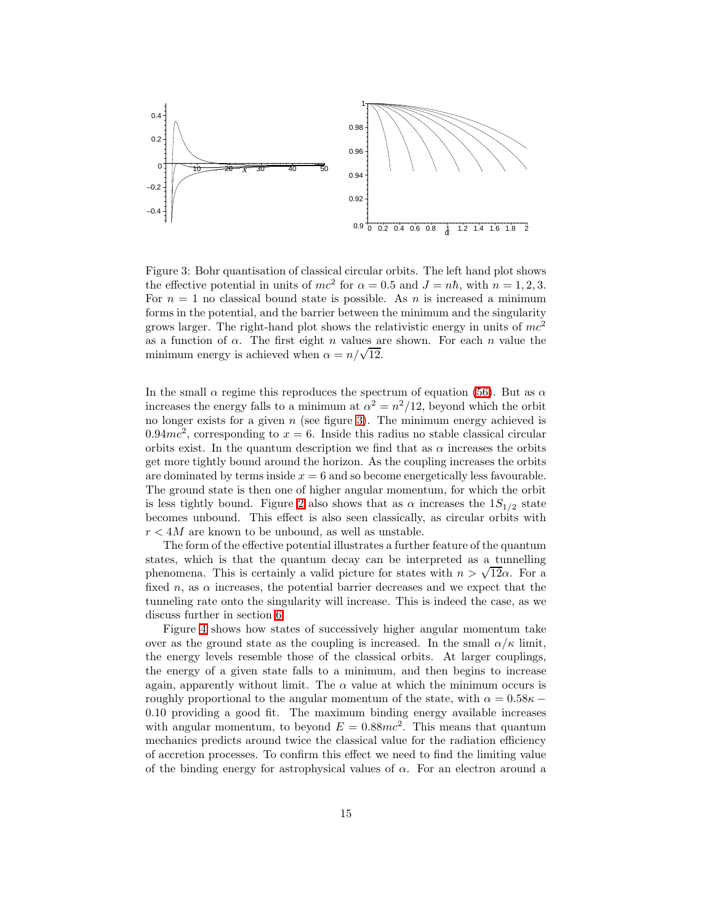

<span id="page-14-0"></span>Figure 3: Bohr quantisation of classical circular orbits. The left hand plot shows the effective potential in units of  $mc^2$  for  $\alpha = 0.5$  and  $J = n\hbar$ , with  $n = 1, 2, 3$ . For  $n = 1$  no classical bound state is possible. As n is increased a minimum forms in the potential, and the barrier between the minimum and the singularity grows larger. The right-hand plot shows the relativistic energy in units of  $mc^2$ as a function of  $\alpha$ . The first eight n values are shown. For each n value the minimum energy is achieved when  $\alpha = n/\sqrt{12}$ .

In the small  $\alpha$  regime this reproduces the spectrum of equation [\(56\)](#page-9-0). But as  $\alpha$ increases the energy falls to a minimum at  $\alpha^2 = n^2/12$ , beyond which the orbit no longer exists for a given  $n$  (see figure [3\)](#page-14-0). The minimum energy achieved is 0.94 $mc^2$ , corresponding to  $x = 6$ . Inside this radius no stable classical circular orbits exist. In the quantum description we find that as  $\alpha$  increases the orbits get more tightly bound around the horizon. As the coupling increases the orbits are dominated by terms inside  $x = 6$  and so become energetically less favourable. The ground state is then one of higher angular momentum, for which the orbit is less tightly bound. Figure [2](#page-13-0) also shows that as  $\alpha$  increases the  $1S_{1/2}$  state becomes unbound. This effect is also seen classically, as circular orbits with  $r < 4M$  are known to be unbound, as well as unstable.

The form of the effective potential illustrates a further feature of the quantum states, which is that the quantum decay can be interpreted as a tunnelling phenomena. This is certainly a valid picture for states with  $n > \sqrt{12}\alpha$ . For a fixed n, as  $\alpha$  increases, the potential barrier decreases and we expect that the tunneling rate onto the singularity will increase. This is indeed the case, as we discuss further in section [6.](#page-19-0)

Figure [4](#page-15-0) shows how states of successively higher angular momentum take over as the ground state as the coupling is increased. In the small  $\alpha/\kappa$  limit, the energy levels resemble those of the classical orbits. At larger couplings, the energy of a given state falls to a minimum, and then begins to increase again, apparently without limit. The  $\alpha$  value at which the minimum occurs is roughly proportional to the angular momentum of the state, with  $\alpha = 0.58\kappa$  – 0.10 providing a good fit. The maximum binding energy available increases with angular momentum, to beyond  $E = 0.88mc^2$ . This means that quantum mechanics predicts around twice the classical value for the radiation efficiency of accretion processes. To confirm this effect we need to find the limiting value of the binding energy for astrophysical values of  $\alpha$ . For an electron around a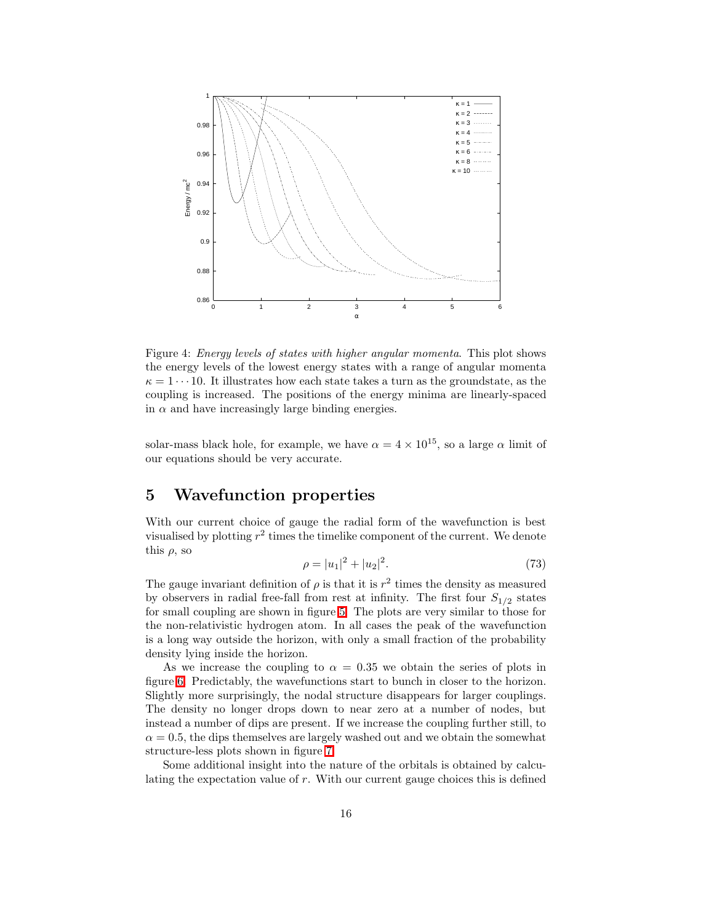

<span id="page-15-0"></span>Figure 4: Energy levels of states with higher angular momenta. This plot shows the energy levels of the lowest energy states with a range of angular momenta  $\kappa = 1 \cdots 10$ . It illustrates how each state takes a turn as the groundstate, as the coupling is increased. The positions of the energy minima are linearly-spaced in  $\alpha$  and have increasingly large binding energies.

solar-mass black hole, for example, we have  $\alpha = 4 \times 10^{15}$ , so a large  $\alpha$  limit of our equations should be very accurate.

# 5 Wavefunction properties

With our current choice of gauge the radial form of the wavefunction is best visualised by plotting  $r^2$  times the timelike component of the current. We denote this  $\rho$ , so

$$
\rho = |u_1|^2 + |u_2|^2. \tag{73}
$$

The gauge invariant definition of  $\rho$  is that it is  $r^2$  times the density as measured by observers in radial free-fall from rest at infinity. The first four  $S_{1/2}$  states for small coupling are shown in figure [5.](#page-16-0) The plots are very similar to those for the non-relativistic hydrogen atom. In all cases the peak of the wavefunction is a long way outside the horizon, with only a small fraction of the probability density lying inside the horizon.

As we increase the coupling to  $\alpha = 0.35$  we obtain the series of plots in figure [6.](#page-17-0) Predictably, the wavefunctions start to bunch in closer to the horizon. Slightly more surprisingly, the nodal structure disappears for larger couplings. The density no longer drops down to near zero at a number of nodes, but instead a number of dips are present. If we increase the coupling further still, to  $\alpha = 0.5$ , the dips themselves are largely washed out and we obtain the somewhat structure-less plots shown in figure [7.](#page-18-0)

Some additional insight into the nature of the orbitals is obtained by calculating the expectation value of r. With our current gauge choices this is defined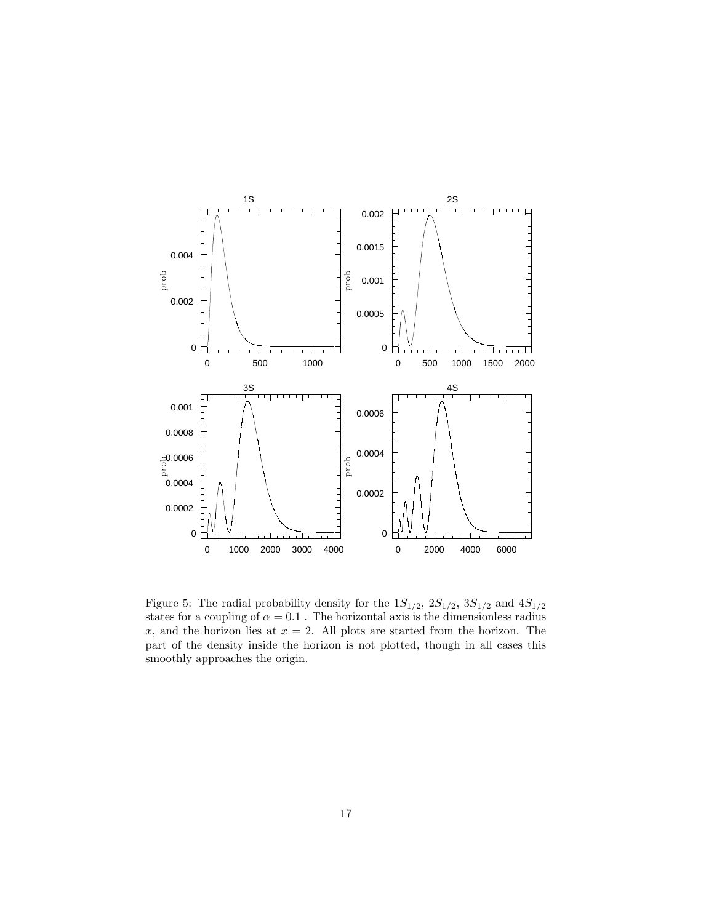

<span id="page-16-0"></span>Figure 5: The radial probability density for the  $1S_{1/2}$ ,  $2S_{1/2}$ ,  $3S_{1/2}$  and  $4S_{1/2}$ states for a coupling of  $\alpha = 0.1$ . The horizontal axis is the dimensionless radius x, and the horizon lies at  $x = 2$ . All plots are started from the horizon. The part of the density inside the horizon is not plotted, though in all cases this smoothly approaches the origin.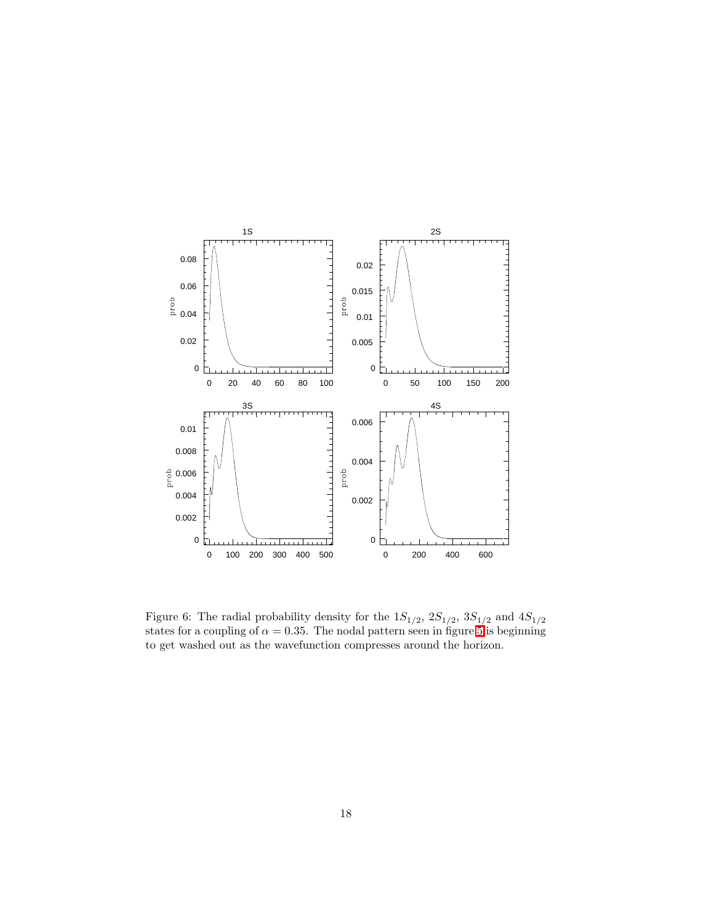

<span id="page-17-0"></span>Figure 6: The radial probability density for the  $1S_{1/2}$ ,  $2S_{1/2}$ ,  $3S_{1/2}$  and  $4S_{1/2}$ states for a coupling of  $\alpha = 0.35$ . The nodal pattern seen in figure [5](#page-16-0) is beginning to get washed out as the wavefunction compresses around the horizon.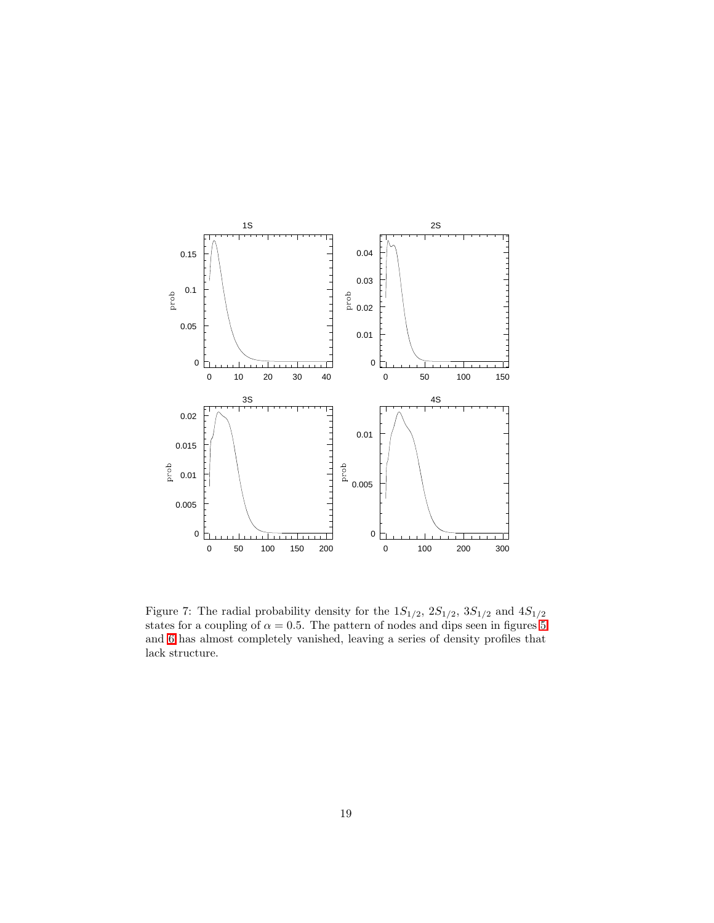

<span id="page-18-0"></span>Figure 7: The radial probability density for the  $1S_{1/2}$ ,  $2S_{1/2}$ ,  $3S_{1/2}$  and  $4S_{1/2}$ states for a coupling of  $\alpha = 0.5$ . The pattern of nodes and dips seen in figures [5](#page-16-0) and [6](#page-17-0) has almost completely vanished, leaving a series of density profiles that lack structure.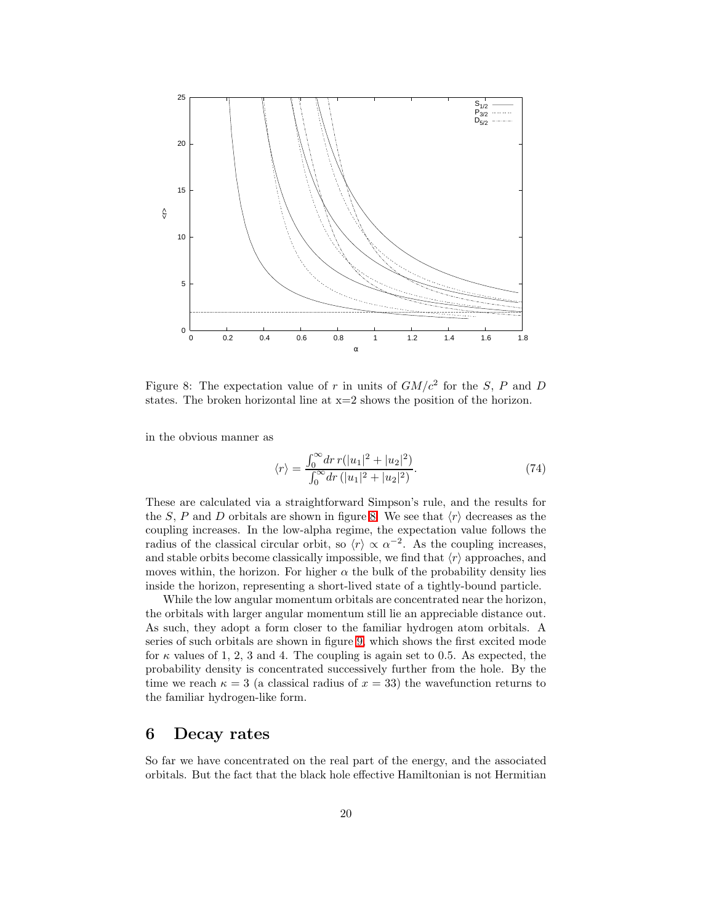

<span id="page-19-1"></span>Figure 8: The expectation value of r in units of  $GM/c^2$  for the S, P and D states. The broken horizontal line at  $x=2$  shows the position of the horizon.

in the obvious manner as

$$
\langle r \rangle = \frac{\int_0^\infty dr \, r(|u_1|^2 + |u_2|^2)}{\int_0^\infty dr \, (|u_1|^2 + |u_2|^2)}.\tag{74}
$$

These are calculated via a straightforward Simpson's rule, and the results for the S, P and D orbitals are shown in figure [8.](#page-19-1) We see that  $\langle r \rangle$  decreases as the coupling increases. In the low-alpha regime, the expectation value follows the radius of the classical circular orbit, so  $\langle r \rangle \propto \alpha^{-2}$ . As the coupling increases, and stable orbits become classically impossible, we find that  $\langle r \rangle$  approaches, and moves within, the horizon. For higher  $\alpha$  the bulk of the probability density lies inside the horizon, representing a short-lived state of a tightly-bound particle.

While the low angular momentum orbitals are concentrated near the horizon, the orbitals with larger angular momentum still lie an appreciable distance out. As such, they adopt a form closer to the familiar hydrogen atom orbitals. A series of such orbitals are shown in figure [9,](#page-20-0) which shows the first excited mode for  $\kappa$  values of 1, 2, 3 and 4. The coupling is again set to 0.5. As expected, the probability density is concentrated successively further from the hole. By the time we reach  $\kappa = 3$  (a classical radius of  $x = 33$ ) the wavefunction returns to the familiar hydrogen-like form.

## <span id="page-19-0"></span>6 Decay rates

So far we have concentrated on the real part of the energy, and the associated orbitals. But the fact that the black hole effective Hamiltonian is not Hermitian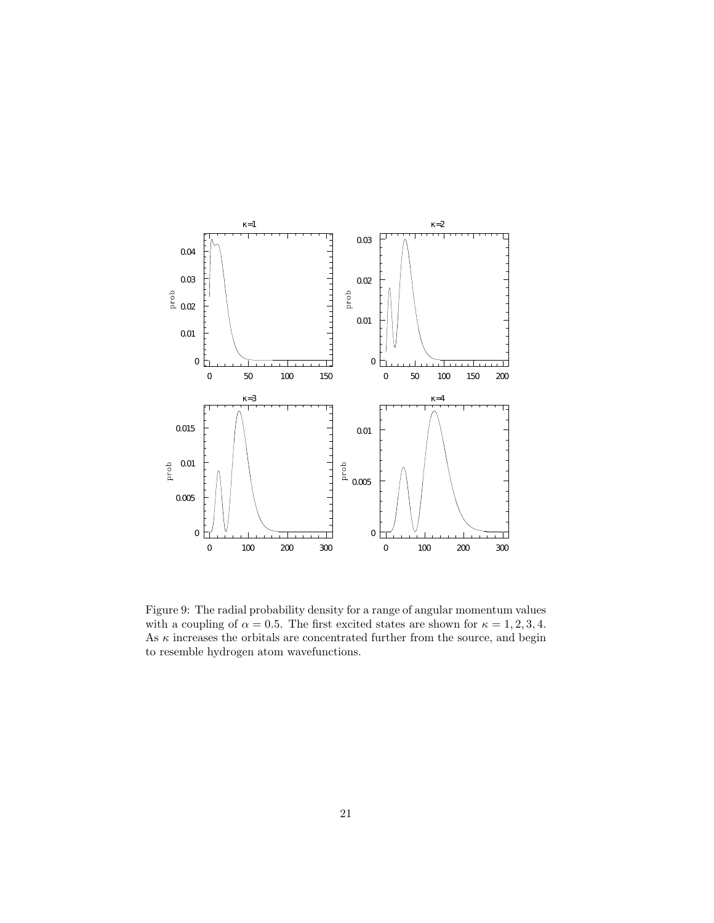

<span id="page-20-0"></span>Figure 9: The radial probability density for a range of angular momentum values with a coupling of  $\alpha = 0.5$ . The first excited states are shown for  $\kappa = 1, 2, 3, 4$ . As  $\kappa$  increases the orbitals are concentrated further from the source, and begin to resemble hydrogen atom wavefunctions.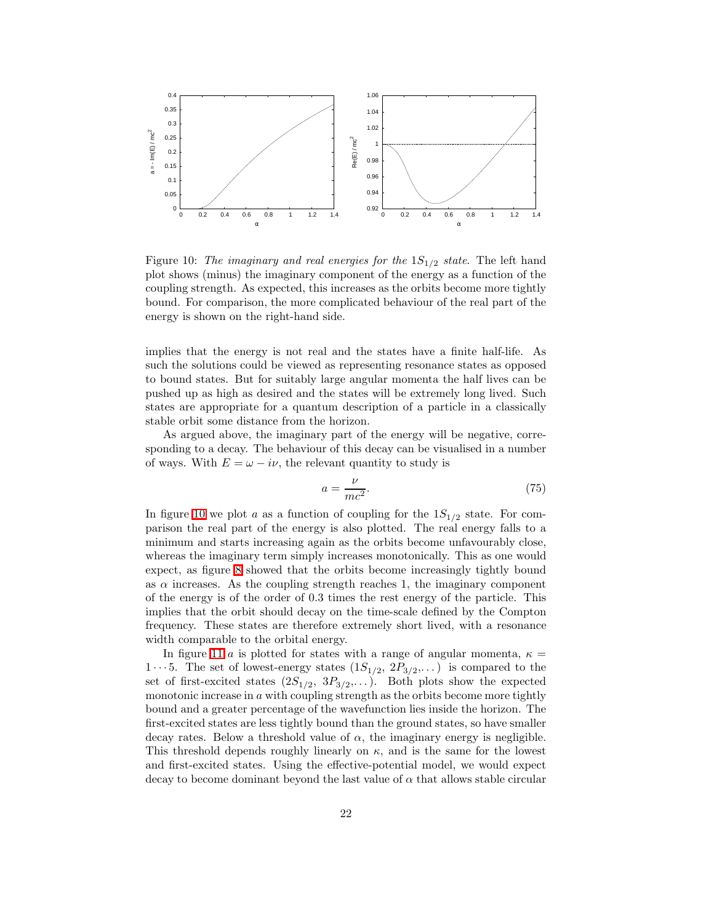

<span id="page-21-0"></span>Figure 10: The imaginary and real energies for the  $1S_{1/2}$  state. The left hand plot shows (minus) the imaginary component of the energy as a function of the coupling strength. As expected, this increases as the orbits become more tightly bound. For comparison, the more complicated behaviour of the real part of the energy is shown on the right-hand side.

implies that the energy is not real and the states have a finite half-life. As such the solutions could be viewed as representing resonance states as opposed to bound states. But for suitably large angular momenta the half lives can be pushed up as high as desired and the states will be extremely long lived. Such states are appropriate for a quantum description of a particle in a classically stable orbit some distance from the horizon.

As argued above, the imaginary part of the energy will be negative, corresponding to a decay. The behaviour of this decay can be visualised in a number of ways. With  $E = \omega - i\nu$ , the relevant quantity to study is

$$
a = \frac{\nu}{mc^2}.\tag{75}
$$

In figure [10](#page-21-0) we plot a as a function of coupling for the  $1S_{1/2}$  state. For comparison the real part of the energy is also plotted. The real energy falls to a minimum and starts increasing again as the orbits become unfavourably close, whereas the imaginary term simply increases monotonically. This as one would expect, as figure [8](#page-19-1) showed that the orbits become increasingly tightly bound as  $\alpha$  increases. As the coupling strength reaches 1, the imaginary component of the energy is of the order of 0.3 times the rest energy of the particle. This implies that the orbit should decay on the time-scale defined by the Compton frequency. These states are therefore extremely short lived, with a resonance width comparable to the orbital energy.

In figure [11](#page-22-0) a is plotted for states with a range of angular momenta,  $\kappa =$  $1 \cdots 5$ . The set of lowest-energy states  $(1S_{1/2}, 2P_{3/2}, ...)$  is compared to the set of first-excited states  $(2S_{1/2}, 3P_{3/2}, ...)$ . Both plots show the expected monotonic increase in  $a$  with coupling strength as the orbits become more tightly bound and a greater percentage of the wavefunction lies inside the horizon. The first-excited states are less tightly bound than the ground states, so have smaller decay rates. Below a threshold value of  $\alpha$ , the imaginary energy is negligible. This threshold depends roughly linearly on  $\kappa$ , and is the same for the lowest and first-excited states. Using the effective-potential model, we would expect decay to become dominant beyond the last value of  $\alpha$  that allows stable circular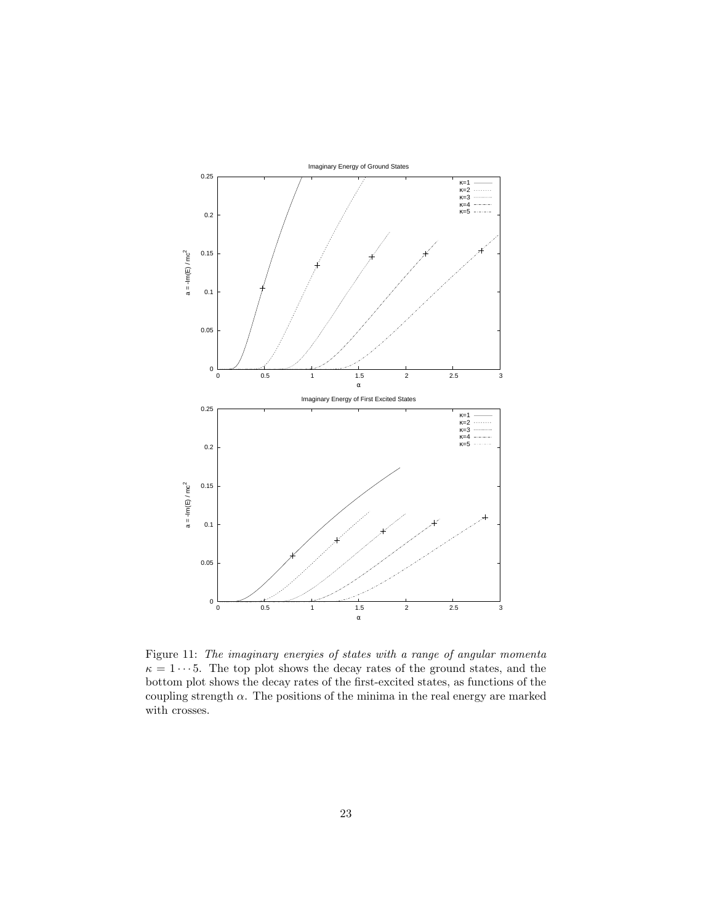

<span id="page-22-0"></span>Figure 11: The imaginary energies of states with a range of angular momenta  $\kappa = 1 \cdots 5$ . The top plot shows the decay rates of the ground states, and the bottom plot shows the decay rates of the first-excited states, as functions of the coupling strength  $\alpha$ . The positions of the minima in the real energy are marked with crosses.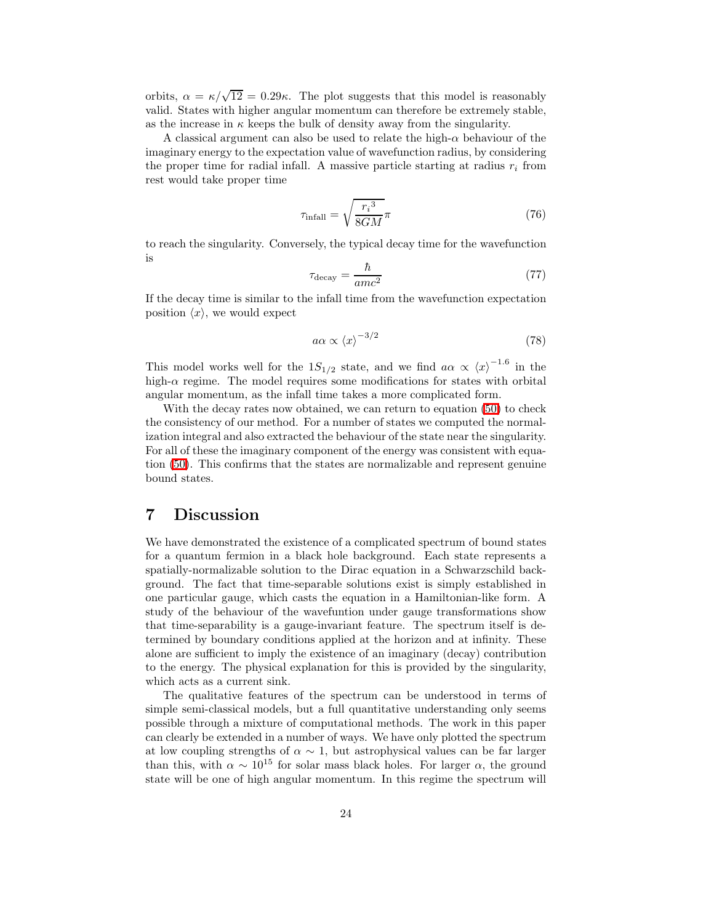orbits,  $\alpha = \kappa/\sqrt{12} = 0.29\kappa$ . The plot suggests that this model is reasonably valid. States with higher angular momentum can therefore be extremely stable, as the increase in  $\kappa$  keeps the bulk of density away from the singularity.

A classical argument can also be used to relate the high- $\alpha$  behaviour of the imaginary energy to the expectation value of wavefunction radius, by considering the proper time for radial infall. A massive particle starting at radius  $r_i$  from rest would take proper time

$$
\tau_{\text{infall}} = \sqrt{\frac{{r_i}^3}{8GM}} \pi \tag{76}
$$

to reach the singularity. Conversely, the typical decay time for the wavefunction is

$$
\tau_{\text{decay}} = \frac{\hbar}{amc^2} \tag{77}
$$

If the decay time is similar to the infall time from the wavefunction expectation position  $\langle x \rangle$ , we would expect

$$
a\alpha \propto \langle x \rangle^{-3/2} \tag{78}
$$

This model works well for the  $1S_{1/2}$  state, and we find  $a\alpha \propto \langle x \rangle^{-1.6}$  in the high- $\alpha$  regime. The model requires some modifications for states with orbital angular momentum, as the infall time takes a more complicated form.

With the decay rates now obtained, we can return to equation [\(50\)](#page-8-0) to check the consistency of our method. For a number of states we computed the normalization integral and also extracted the behaviour of the state near the singularity. For all of these the imaginary component of the energy was consistent with equation [\(50\)](#page-8-0). This confirms that the states are normalizable and represent genuine bound states.

#### <span id="page-23-0"></span>7 Discussion

We have demonstrated the existence of a complicated spectrum of bound states for a quantum fermion in a black hole background. Each state represents a spatially-normalizable solution to the Dirac equation in a Schwarzschild background. The fact that time-separable solutions exist is simply established in one particular gauge, which casts the equation in a Hamiltonian-like form. A study of the behaviour of the wavefuntion under gauge transformations show that time-separability is a gauge-invariant feature. The spectrum itself is determined by boundary conditions applied at the horizon and at infinity. These alone are sufficient to imply the existence of an imaginary (decay) contribution to the energy. The physical explanation for this is provided by the singularity, which acts as a current sink.

The qualitative features of the spectrum can be understood in terms of simple semi-classical models, but a full quantitative understanding only seems possible through a mixture of computational methods. The work in this paper can clearly be extended in a number of ways. We have only plotted the spectrum at low coupling strengths of  $\alpha \sim 1$ , but astrophysical values can be far larger than this, with  $\alpha \sim 10^{15}$  for solar mass black holes. For larger  $\alpha$ , the ground state will be one of high angular momentum. In this regime the spectrum will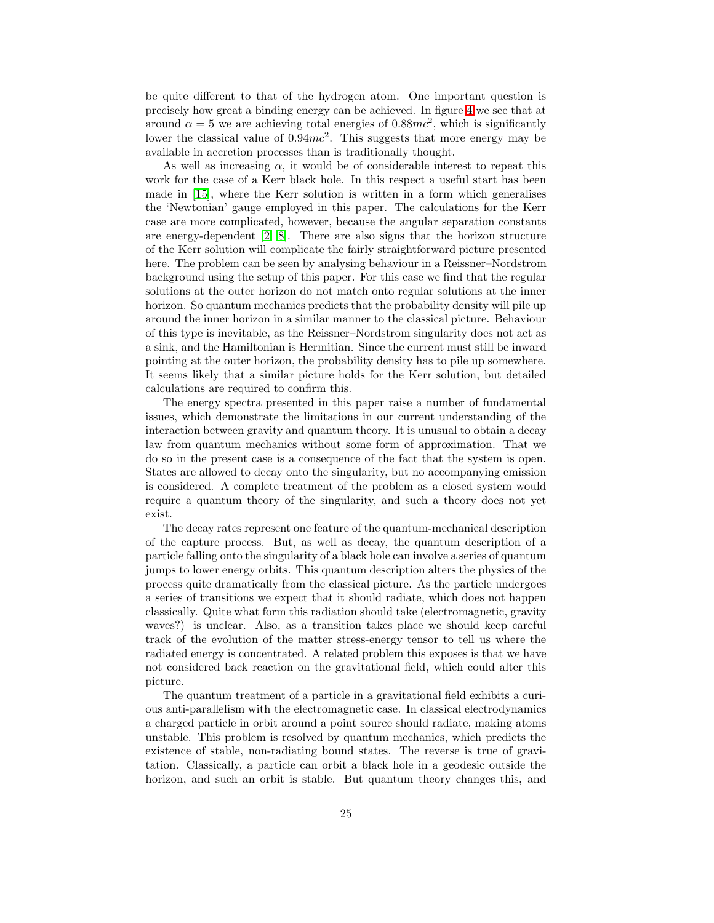be quite different to that of the hydrogen atom. One important question is precisely how great a binding energy can be achieved. In figure [4](#page-15-0) we see that at around  $\alpha = 5$  we are achieving total energies of 0.88mc<sup>2</sup>, which is significantly lower the classical value of  $0.94mc^2$ . This suggests that more energy may be available in accretion processes than is traditionally thought.

As well as increasing  $\alpha$ , it would be of considerable interest to repeat this work for the case of a Kerr black hole. In this respect a useful start has been made in [\[15\]](#page-26-4), where the Kerr solution is written in a form which generalises the 'Newtonian' gauge employed in this paper. The calculations for the Kerr case are more complicated, however, because the angular separation constants are energy-dependent [\[2,](#page-25-1) [8\]](#page-25-7). There are also signs that the horizon structure of the Kerr solution will complicate the fairly straightforward picture presented here. The problem can be seen by analysing behaviour in a Reissner–Nordstrom background using the setup of this paper. For this case we find that the regular solutions at the outer horizon do not match onto regular solutions at the inner horizon. So quantum mechanics predicts that the probability density will pile up around the inner horizon in a similar manner to the classical picture. Behaviour of this type is inevitable, as the Reissner–Nordstrom singularity does not act as a sink, and the Hamiltonian is Hermitian. Since the current must still be inward pointing at the outer horizon, the probability density has to pile up somewhere. It seems likely that a similar picture holds for the Kerr solution, but detailed calculations are required to confirm this.

The energy spectra presented in this paper raise a number of fundamental issues, which demonstrate the limitations in our current understanding of the interaction between gravity and quantum theory. It is unusual to obtain a decay law from quantum mechanics without some form of approximation. That we do so in the present case is a consequence of the fact that the system is open. States are allowed to decay onto the singularity, but no accompanying emission is considered. A complete treatment of the problem as a closed system would require a quantum theory of the singularity, and such a theory does not yet exist.

The decay rates represent one feature of the quantum-mechanical description of the capture process. But, as well as decay, the quantum description of a particle falling onto the singularity of a black hole can involve a series of quantum jumps to lower energy orbits. This quantum description alters the physics of the process quite dramatically from the classical picture. As the particle undergoes a series of transitions we expect that it should radiate, which does not happen classically. Quite what form this radiation should take (electromagnetic, gravity waves?) is unclear. Also, as a transition takes place we should keep careful track of the evolution of the matter stress-energy tensor to tell us where the radiated energy is concentrated. A related problem this exposes is that we have not considered back reaction on the gravitational field, which could alter this picture.

The quantum treatment of a particle in a gravitational field exhibits a curious anti-parallelism with the electromagnetic case. In classical electrodynamics a charged particle in orbit around a point source should radiate, making atoms unstable. This problem is resolved by quantum mechanics, which predicts the existence of stable, non-radiating bound states. The reverse is true of gravitation. Classically, a particle can orbit a black hole in a geodesic outside the horizon, and such an orbit is stable. But quantum theory changes this, and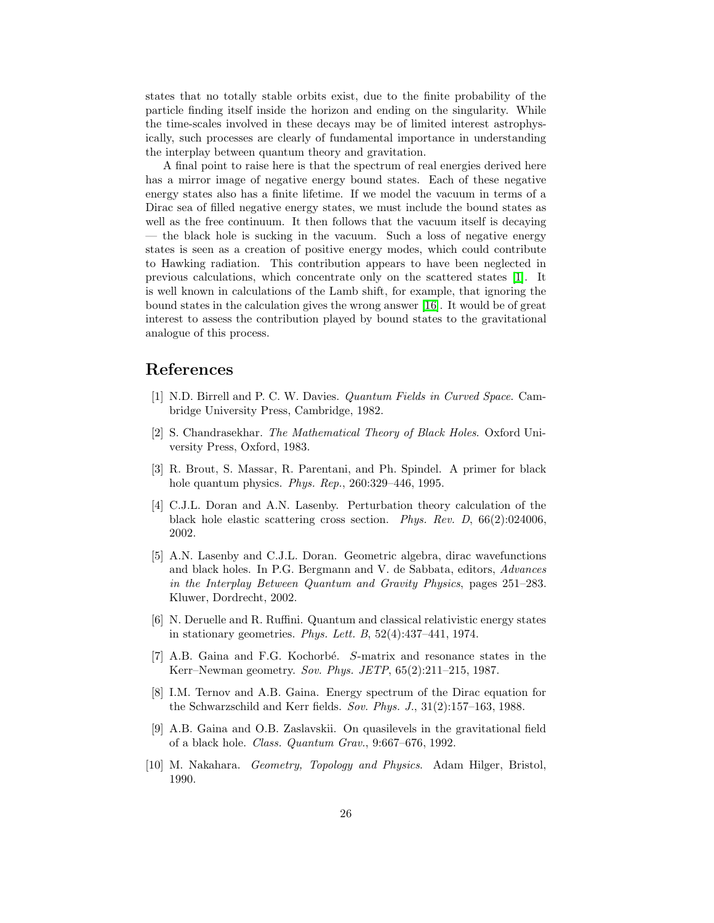states that no totally stable orbits exist, due to the finite probability of the particle finding itself inside the horizon and ending on the singularity. While the time-scales involved in these decays may be of limited interest astrophysically, such processes are clearly of fundamental importance in understanding the interplay between quantum theory and gravitation.

A final point to raise here is that the spectrum of real energies derived here has a mirror image of negative energy bound states. Each of these negative energy states also has a finite lifetime. If we model the vacuum in terms of a Dirac sea of filled negative energy states, we must include the bound states as well as the free continuum. It then follows that the vacuum itself is decaying — the black hole is sucking in the vacuum. Such a loss of negative energy states is seen as a creation of positive energy modes, which could contribute to Hawking radiation. This contribution appears to have been neglected in previous calculations, which concentrate only on the scattered states [\[1\]](#page-25-0). It is well known in calculations of the Lamb shift, for example, that ignoring the bound states in the calculation gives the wrong answer [\[16\]](#page-26-5). It would be of great interest to assess the contribution played by bound states to the gravitational analogue of this process.

#### <span id="page-25-0"></span>References

- <span id="page-25-1"></span>[1] N.D. Birrell and P. C. W. Davies. Quantum Fields in Curved Space. Cambridge University Press, Cambridge, 1982.
- [2] S. Chandrasekhar. The Mathematical Theory of Black Holes. Oxford University Press, Oxford, 1983.
- <span id="page-25-2"></span>[3] R. Brout, S. Massar, R. Parentani, and Ph. Spindel. A primer for black hole quantum physics. Phys. Rep., 260:329–446, 1995.
- <span id="page-25-3"></span>[4] C.J.L. Doran and A.N. Lasenby. Perturbation theory calculation of the black hole elastic scattering cross section. Phys. Rev. D, 66(2):024006, 2002.
- <span id="page-25-4"></span>[5] A.N. Lasenby and C.J.L. Doran. Geometric algebra, dirac wavefunctions and black holes. In P.G. Bergmann and V. de Sabbata, editors, Advances in the Interplay Between Quantum and Gravity Physics, pages 251–283. Kluwer, Dordrecht, 2002.
- <span id="page-25-5"></span>[6] N. Deruelle and R. Ruffini. Quantum and classical relativistic energy states in stationary geometries. Phys. Lett. B,  $52(4):437-441$ , 1974.
- <span id="page-25-6"></span>[7] A.B. Gaina and F.G. Kochorbé. S-matrix and resonance states in the Kerr–Newman geometry. Sov. Phys. JETP, 65(2):211–215, 1987.
- <span id="page-25-7"></span>[8] I.M. Ternov and A.B. Gaina. Energy spectrum of the Dirac equation for the Schwarzschild and Kerr fields. Sov. Phys. J., 31(2):157–163, 1988.
- <span id="page-25-8"></span>[9] A.B. Gaina and O.B. Zaslavskii. On quasilevels in the gravitational field of a black hole. Class. Quantum Grav., 9:667–676, 1992.
- <span id="page-25-9"></span>[10] M. Nakahara. Geometry, Topology and Physics. Adam Hilger, Bristol, 1990.